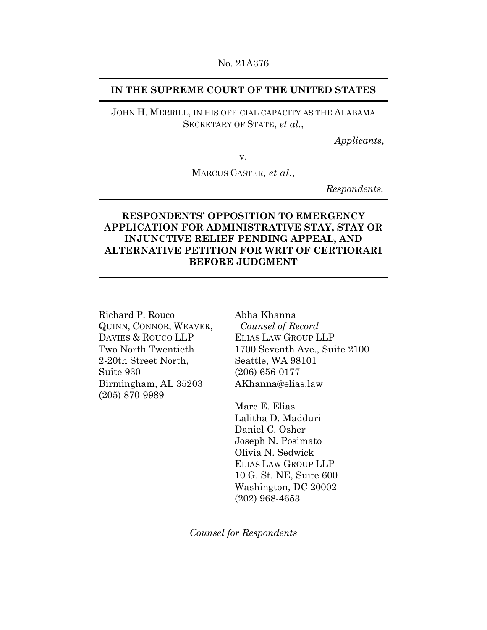#### No. 21A376

## **IN THE SUPREME COURT OF THE UNITED STATES**

## JOHN H. MERRILL, IN HIS OFFICIAL CAPACITY AS THE ALABAMA SECRETARY OF STATE, *et al.*,

*Applicants*,

v.

MARCUS CASTER, *et al.*,

*Respondents.* 

## **RESPONDENTS' OPPOSITION TO EMERGENCY APPLICATION FOR ADMINISTRATIVE STAY, STAY OR INJUNCTIVE RELIEF PENDING APPEAL, AND ALTERNATIVE PETITION FOR WRIT OF CERTIORARI BEFORE JUDGMENT**

Richard P. Rouco QUINN, CONNOR, WEAVER, DAVIES & ROUCO LLP Two North Twentieth 2-20th Street North, Suite 930 Birmingham, AL 35203 (205) 870-9989

Abha Khanna *Counsel of Record*  ELIAS LAW GROUP LLP 1700 Seventh Ave., Suite 2100 Seattle, WA 98101 (206) 656-0177 AKhanna@elias.law

Marc E. Elias Lalitha D. Madduri Daniel C. Osher Joseph N. Posimato Olivia N. Sedwick ELIAS LAW GROUP LLP 10 G. St. NE, Suite 600 Washington, DC 20002 (202) 968-4653

*Counsel for Respondents*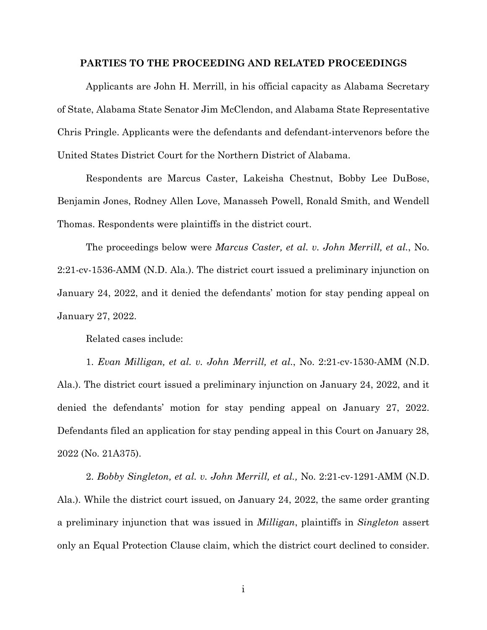#### **PARTIES TO THE PROCEEDING AND RELATED PROCEEDINGS**

Applicants are John H. Merrill, in his official capacity as Alabama Secretary of State, Alabama State Senator Jim McClendon, and Alabama State Representative Chris Pringle. Applicants were the defendants and defendant-intervenors before the United States District Court for the Northern District of Alabama.

Respondents are Marcus Caster, Lakeisha Chestnut, Bobby Lee DuBose, Benjamin Jones, Rodney Allen Love, Manasseh Powell, Ronald Smith, and Wendell Thomas. Respondents were plaintiffs in the district court.

The proceedings below were *Marcus Caster, et al. v. John Merrill, et al.*, No. 2:21-cv-1536-AMM (N.D. Ala.). The district court issued a preliminary injunction on January 24, 2022, and it denied the defendants' motion for stay pending appeal on January 27, 2022.

Related cases include:

1. *Evan Milligan, et al. v. John Merrill, et al.*, No. 2:21-cv-1530-AMM (N.D. Ala.). The district court issued a preliminary injunction on January 24, 2022, and it denied the defendants' motion for stay pending appeal on January 27, 2022. Defendants filed an application for stay pending appeal in this Court on January 28, 2022 (No. 21A375).

2. *Bobby Singleton, et al. v. John Merrill, et al.,* No. 2:21-cv-1291-AMM (N.D. Ala.). While the district court issued, on January 24, 2022, the same order granting a preliminary injunction that was issued in *Milligan*, plaintiffs in *Singleton* assert only an Equal Protection Clause claim, which the district court declined to consider.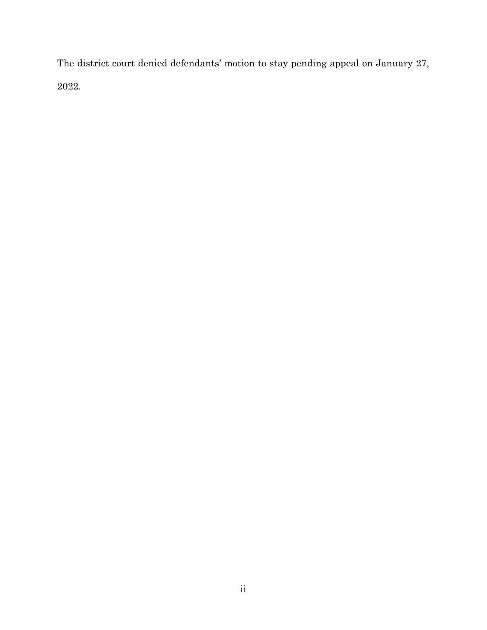The district court denied defendants' motion to stay pending appeal on January 27, 2022.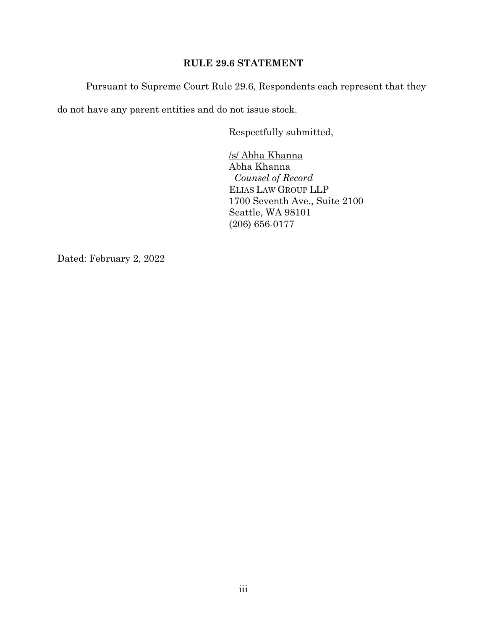## **RULE 29.6 STATEMENT**

Pursuant to Supreme Court Rule 29.6, Respondents each represent that they

do not have any parent entities and do not issue stock.

Respectfully submitted,

 /s/ Abha Khanna Abha Khanna *Counsel of Record*  ELIAS LAW GROUP LLP 1700 Seventh Ave., Suite 2100 Seattle, WA 98101 (206) 656-0177

Dated: February 2, 2022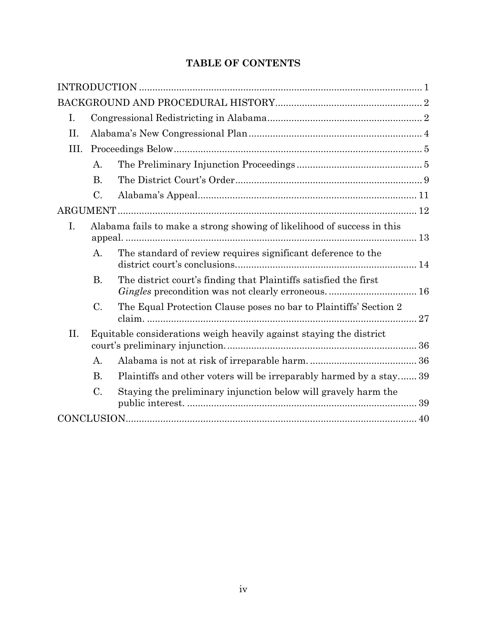# **TABLE OF CONTENTS**

| I.   |                                                                     |                                                                                                                       |  |  |
|------|---------------------------------------------------------------------|-----------------------------------------------------------------------------------------------------------------------|--|--|
| II.  |                                                                     |                                                                                                                       |  |  |
| III. |                                                                     |                                                                                                                       |  |  |
|      | A.                                                                  |                                                                                                                       |  |  |
|      | <b>B.</b>                                                           |                                                                                                                       |  |  |
|      | C.                                                                  |                                                                                                                       |  |  |
|      |                                                                     |                                                                                                                       |  |  |
| I.   |                                                                     | Alabama fails to make a strong showing of likelihood of success in this                                               |  |  |
|      | А.                                                                  | The standard of review requires significant deference to the                                                          |  |  |
|      | В.                                                                  | The district court's finding that Plaintiffs satisfied the first<br>Gingles precondition was not clearly erroneous 16 |  |  |
|      | C.                                                                  | The Equal Protection Clause poses no bar to Plaintiffs' Section 2                                                     |  |  |
| II.  | Equitable considerations weigh heavily against staying the district |                                                                                                                       |  |  |
|      | А.                                                                  |                                                                                                                       |  |  |
|      | <b>B.</b>                                                           | Plaintiffs and other voters will be irreparably harmed by a stay 39                                                   |  |  |
|      | $C$ .                                                               | Staying the preliminary injunction below will gravely harm the                                                        |  |  |
|      |                                                                     |                                                                                                                       |  |  |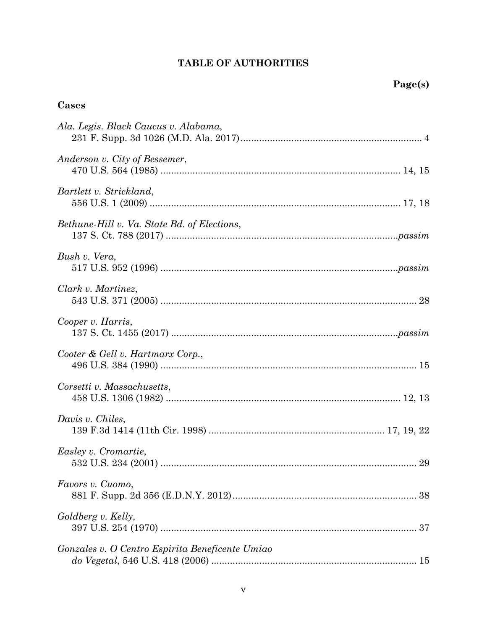# **TABLE OF AUTHORITIES**

## **Cases**

| Ala. Legis. Black Caucus v. Alabama,                                                 |
|--------------------------------------------------------------------------------------|
| Anderson v. City of Bessemer,                                                        |
| Bartlett v. Strickland,<br>556 U.S. 1 (2009) …………………………………………………………………………………… 17, 18 |
| Bethune-Hill v. Va. State Bd. of Elections,                                          |
| Bush v. Vera,                                                                        |
| Clark v. Martinez,                                                                   |
| Cooper v. Harris,                                                                    |
| Cooter & Gell v. Hartmarx Corp.,                                                     |
| Corsetti v. Massachusetts,                                                           |
| Davis v. Chiles,                                                                     |
| Easley v. Cromartie,                                                                 |
| Favors v. Cuomo,                                                                     |
| Goldberg v. Kelly,                                                                   |
| Gonzales v. O Centro Espirita Beneficente Umiao                                      |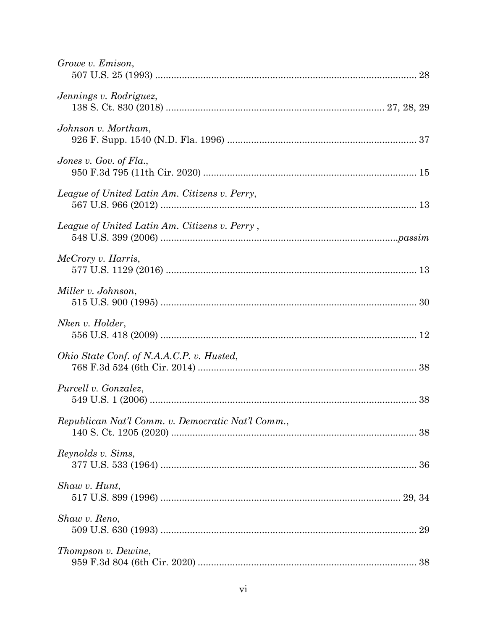| Growe v. Emison,                                  |  |
|---------------------------------------------------|--|
| Jennings v. Rodriguez,                            |  |
| Johnson v. Mortham,                               |  |
| Jones v. Gov. of $Fla$ .,                         |  |
| League of United Latin Am. Citizens v. Perry,     |  |
| League of United Latin Am. Citizens v. Perry,     |  |
| McCrory v. Harris,                                |  |
| Miller v. Johnson,                                |  |
| Nken v. Holder,                                   |  |
| Ohio State Conf. of N.A.A.C.P. v. Husted,         |  |
| Purcell v. Gonzalez,                              |  |
| Republican Nat'l Comm. v. Democratic Nat'l Comm., |  |
| Reynolds v. Sims,                                 |  |
| Shaw v. Hunt,                                     |  |
| Shaw v. Reno,                                     |  |
| Thompson v. Dewine,                               |  |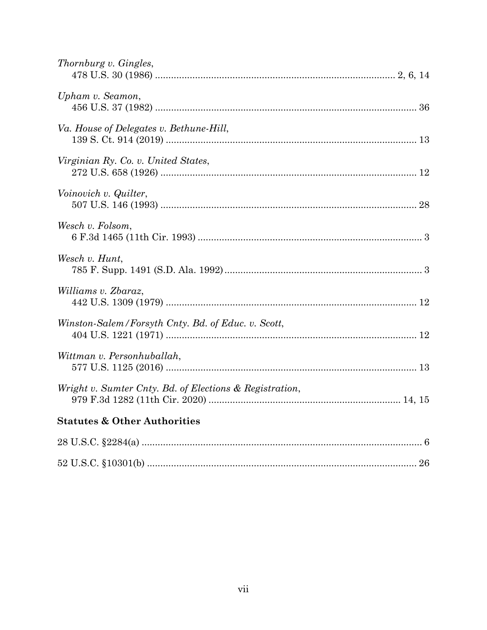| Thornburg v. Gingles,                                   |  |
|---------------------------------------------------------|--|
| Upham v. Seamon,                                        |  |
| Va. House of Delegates v. Bethune-Hill,                 |  |
| Virginian Ry. Co. v. United States,                     |  |
| Voinovich v. Quilter,                                   |  |
| Wesch v. Folsom,                                        |  |
| Wesch v. Hunt,                                          |  |
| Williams v. Zbaraz,                                     |  |
| Winston-Salem/Forsyth Cnty. Bd. of Educ. v. Scott,      |  |
| Wittman v. Personhuballah,                              |  |
| Wright v. Sumter Cnty. Bd. of Elections & Registration, |  |
| <b>Statutes &amp; Other Authorities</b>                 |  |
|                                                         |  |
|                                                         |  |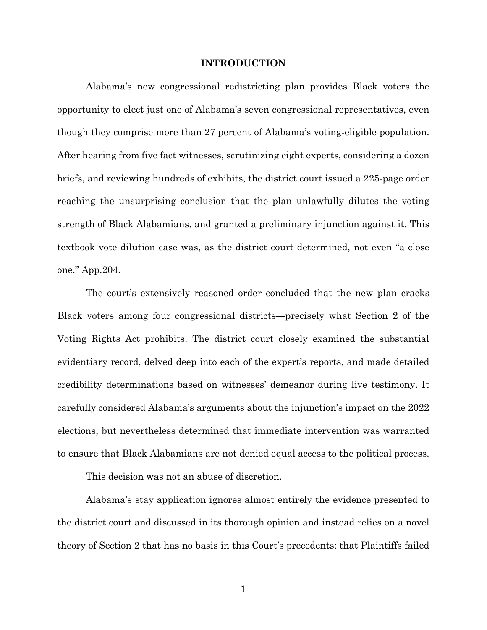#### **INTRODUCTION**

Alabama's new congressional redistricting plan provides Black voters the opportunity to elect just one of Alabama's seven congressional representatives, even though they comprise more than 27 percent of Alabama's voting-eligible population. After hearing from five fact witnesses, scrutinizing eight experts, considering a dozen briefs, and reviewing hundreds of exhibits, the district court issued a 225-page order reaching the unsurprising conclusion that the plan unlawfully dilutes the voting strength of Black Alabamians, and granted a preliminary injunction against it. This textbook vote dilution case was, as the district court determined, not even "a close one." App.204.

The court's extensively reasoned order concluded that the new plan cracks Black voters among four congressional districts—precisely what Section 2 of the Voting Rights Act prohibits. The district court closely examined the substantial evidentiary record, delved deep into each of the expert's reports, and made detailed credibility determinations based on witnesses' demeanor during live testimony. It carefully considered Alabama's arguments about the injunction's impact on the 2022 elections, but nevertheless determined that immediate intervention was warranted to ensure that Black Alabamians are not denied equal access to the political process.

This decision was not an abuse of discretion.

Alabama's stay application ignores almost entirely the evidence presented to the district court and discussed in its thorough opinion and instead relies on a novel theory of Section 2 that has no basis in this Court's precedents: that Plaintiffs failed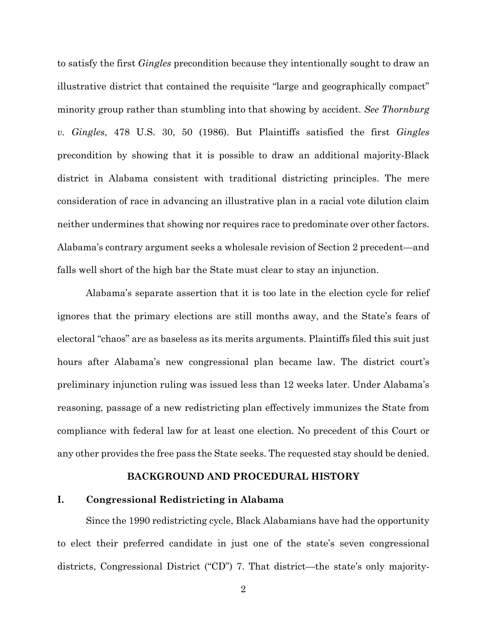to satisfy the first *Gingles* precondition because they intentionally sought to draw an illustrative district that contained the requisite "large and geographically compact" minority group rather than stumbling into that showing by accident. *See Thornburg v. Gingles*, 478 U.S. 30, 50 (1986). But Plaintiffs satisfied the first *Gingles*  precondition by showing that it is possible to draw an additional majority-Black district in Alabama consistent with traditional districting principles. The mere consideration of race in advancing an illustrative plan in a racial vote dilution claim neither undermines that showing nor requires race to predominate over other factors. Alabama's contrary argument seeks a wholesale revision of Section 2 precedent—and falls well short of the high bar the State must clear to stay an injunction.

Alabama's separate assertion that it is too late in the election cycle for relief ignores that the primary elections are still months away, and the State's fears of electoral "chaos" are as baseless as its merits arguments. Plaintiffs filed this suit just hours after Alabama's new congressional plan became law. The district court's preliminary injunction ruling was issued less than 12 weeks later. Under Alabama's reasoning, passage of a new redistricting plan effectively immunizes the State from compliance with federal law for at least one election. No precedent of this Court or any other provides the free pass the State seeks. The requested stay should be denied.

#### **BACKGROUND AND PROCEDURAL HISTORY**

## **I. Congressional Redistricting in Alabama**

Since the 1990 redistricting cycle, Black Alabamians have had the opportunity to elect their preferred candidate in just one of the state's seven congressional districts, Congressional District ("CD") 7. That district—the state's only majority-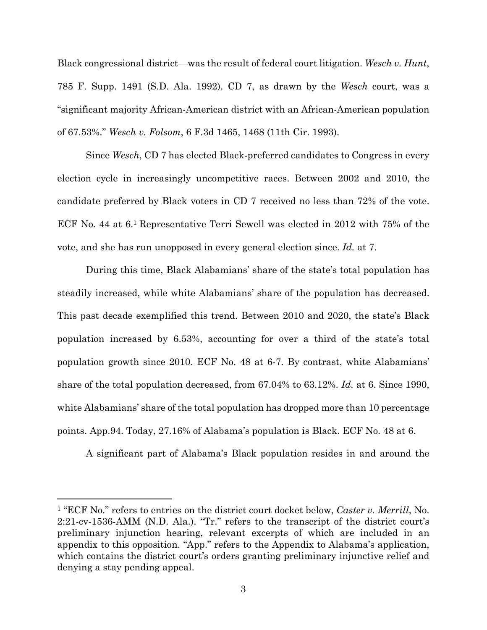Black congressional district—was the result of federal court litigation. *Wesch v. Hunt*, 785 F. Supp. 1491 (S.D. Ala. 1992). CD 7, as drawn by the *Wesch* court, was a "significant majority African-American district with an African-American population of 67.53%." *Wesch v. Folsom*, 6 F.3d 1465, 1468 (11th Cir. 1993).

Since *Wesch*, CD 7 has elected Black-preferred candidates to Congress in every election cycle in increasingly uncompetitive races. Between 2002 and 2010, the candidate preferred by Black voters in CD 7 received no less than 72% of the vote. ECF No. 44 at 6.1 Representative Terri Sewell was elected in 2012 with 75% of the vote, and she has run unopposed in every general election since. *Id.* at 7.

During this time, Black Alabamians' share of the state's total population has steadily increased, while white Alabamians' share of the population has decreased. This past decade exemplified this trend. Between 2010 and 2020, the state's Black population increased by 6.53%, accounting for over a third of the state's total population growth since 2010. ECF No. 48 at 6-7. By contrast, white Alabamians' share of the total population decreased, from 67.04% to 63.12%. *Id.* at 6. Since 1990, white Alabamians' share of the total population has dropped more than 10 percentage points. App.94. Today, 27.16% of Alabama's population is Black. ECF No. 48 at 6.

A significant part of Alabama's Black population resides in and around the

<sup>1 &</sup>quot;ECF No." refers to entries on the district court docket below, *Caster v. Merrill*, No. 2:21-cv-1536-AMM (N.D. Ala.). "Tr." refers to the transcript of the district court's preliminary injunction hearing, relevant excerpts of which are included in an appendix to this opposition. "App." refers to the Appendix to Alabama's application, which contains the district court's orders granting preliminary injunctive relief and denying a stay pending appeal.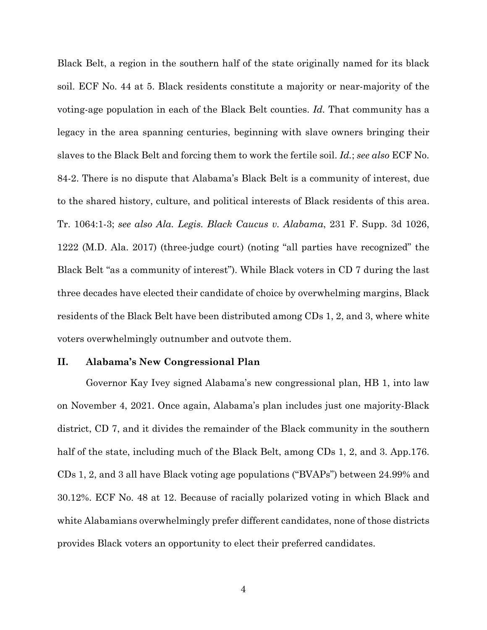Black Belt, a region in the southern half of the state originally named for its black soil. ECF No. 44 at 5. Black residents constitute a majority or near-majority of the voting-age population in each of the Black Belt counties. *Id.* That community has a legacy in the area spanning centuries, beginning with slave owners bringing their slaves to the Black Belt and forcing them to work the fertile soil. *Id.*; *see also* ECF No. 84-2. There is no dispute that Alabama's Black Belt is a community of interest, due to the shared history, culture, and political interests of Black residents of this area. Tr. 1064:1-3; *see also Ala. Legis. Black Caucus v. Alabama*, 231 F. Supp. 3d 1026, 1222 (M.D. Ala. 2017) (three-judge court) (noting "all parties have recognized" the Black Belt "as a community of interest"). While Black voters in CD 7 during the last three decades have elected their candidate of choice by overwhelming margins, Black residents of the Black Belt have been distributed among CDs 1, 2, and 3, where white voters overwhelmingly outnumber and outvote them.

#### **II. Alabama's New Congressional Plan**

Governor Kay Ivey signed Alabama's new congressional plan, HB 1, into law on November 4, 2021. Once again, Alabama's plan includes just one majority-Black district, CD 7, and it divides the remainder of the Black community in the southern half of the state, including much of the Black Belt, among CDs 1, 2, and 3. App.176. CDs 1, 2, and 3 all have Black voting age populations ("BVAPs") between 24.99% and 30.12%. ECF No. 48 at 12. Because of racially polarized voting in which Black and white Alabamians overwhelmingly prefer different candidates, none of those districts provides Black voters an opportunity to elect their preferred candidates.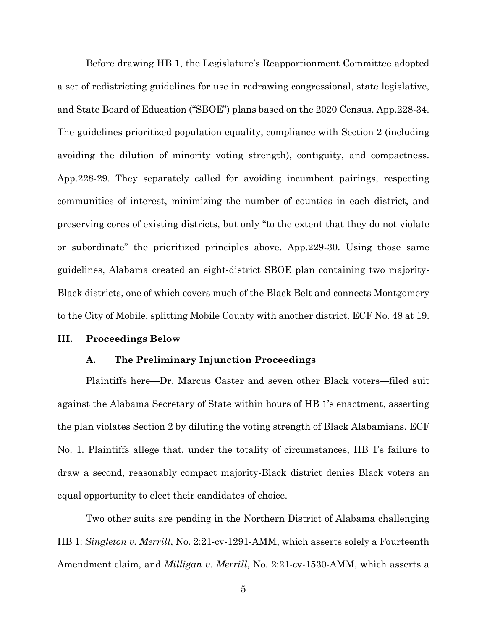Before drawing HB 1, the Legislature's Reapportionment Committee adopted a set of redistricting guidelines for use in redrawing congressional, state legislative, and State Board of Education ("SBOE") plans based on the 2020 Census. App.228-34. The guidelines prioritized population equality, compliance with Section 2 (including avoiding the dilution of minority voting strength), contiguity, and compactness. App.228-29. They separately called for avoiding incumbent pairings, respecting communities of interest, minimizing the number of counties in each district, and preserving cores of existing districts, but only "to the extent that they do not violate or subordinate" the prioritized principles above. App.229-30. Using those same guidelines, Alabama created an eight-district SBOE plan containing two majority-Black districts, one of which covers much of the Black Belt and connects Montgomery to the City of Mobile, splitting Mobile County with another district. ECF No. 48 at 19.

#### **III. Proceedings Below**

#### **A. The Preliminary Injunction Proceedings**

Plaintiffs here—Dr. Marcus Caster and seven other Black voters—filed suit against the Alabama Secretary of State within hours of HB 1's enactment, asserting the plan violates Section 2 by diluting the voting strength of Black Alabamians. ECF No. 1. Plaintiffs allege that, under the totality of circumstances, HB 1's failure to draw a second, reasonably compact majority-Black district denies Black voters an equal opportunity to elect their candidates of choice.

Two other suits are pending in the Northern District of Alabama challenging HB 1: *Singleton v. Merrill*, No. 2:21-cv-1291-AMM, which asserts solely a Fourteenth Amendment claim, and *Milligan v. Merrill*, No. 2:21-cv-1530-AMM, which asserts a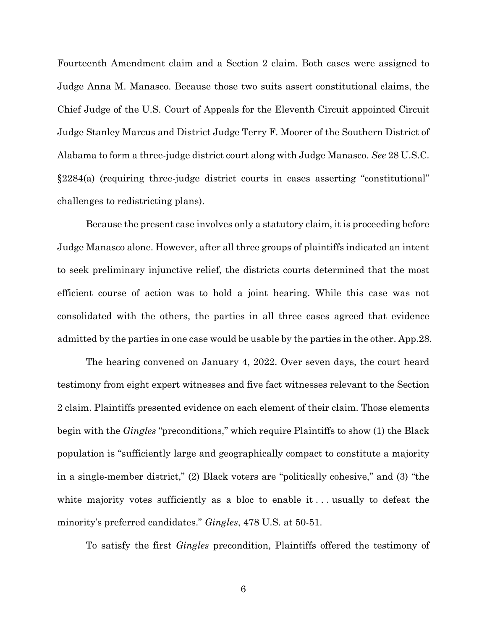Fourteenth Amendment claim and a Section 2 claim. Both cases were assigned to Judge Anna M. Manasco. Because those two suits assert constitutional claims, the Chief Judge of the U.S. Court of Appeals for the Eleventh Circuit appointed Circuit Judge Stanley Marcus and District Judge Terry F. Moorer of the Southern District of Alabama to form a three-judge district court along with Judge Manasco. *See* 28 U.S.C. §2284(a) (requiring three-judge district courts in cases asserting "constitutional" challenges to redistricting plans).

Because the present case involves only a statutory claim, it is proceeding before Judge Manasco alone. However, after all three groups of plaintiffs indicated an intent to seek preliminary injunctive relief, the districts courts determined that the most efficient course of action was to hold a joint hearing. While this case was not consolidated with the others, the parties in all three cases agreed that evidence admitted by the parties in one case would be usable by the parties in the other. App.28.

The hearing convened on January 4, 2022. Over seven days, the court heard testimony from eight expert witnesses and five fact witnesses relevant to the Section 2 claim. Plaintiffs presented evidence on each element of their claim. Those elements begin with the *Gingles* "preconditions," which require Plaintiffs to show (1) the Black population is "sufficiently large and geographically compact to constitute a majority in a single-member district," (2) Black voters are "politically cohesive," and (3) "the white majority votes sufficiently as a bloc to enable it... usually to defeat the minority's preferred candidates." *Gingles*, 478 U.S. at 50-51.

To satisfy the first *Gingles* precondition, Plaintiffs offered the testimony of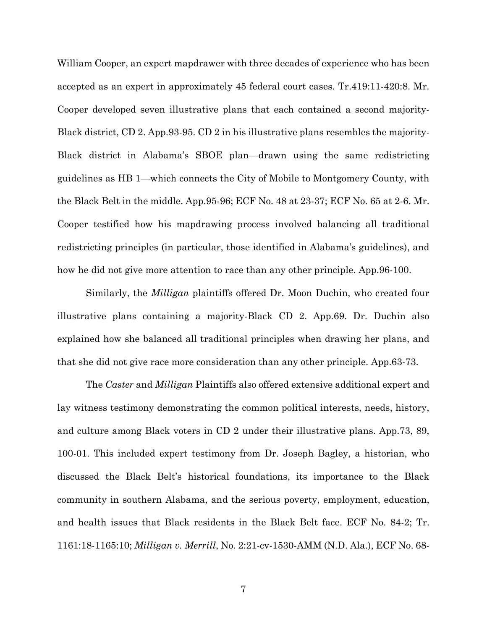William Cooper, an expert mapdrawer with three decades of experience who has been accepted as an expert in approximately 45 federal court cases. Tr.419:11-420:8. Mr. Cooper developed seven illustrative plans that each contained a second majority-Black district, CD 2. App.93-95. CD 2 in his illustrative plans resembles the majority-Black district in Alabama's SBOE plan—drawn using the same redistricting guidelines as HB 1—which connects the City of Mobile to Montgomery County, with the Black Belt in the middle. App.95-96; ECF No. 48 at 23-37; ECF No. 65 at 2-6. Mr. Cooper testified how his mapdrawing process involved balancing all traditional redistricting principles (in particular, those identified in Alabama's guidelines), and how he did not give more attention to race than any other principle. App.96-100.

Similarly, the *Milligan* plaintiffs offered Dr. Moon Duchin, who created four illustrative plans containing a majority-Black CD 2. App.69. Dr. Duchin also explained how she balanced all traditional principles when drawing her plans, and that she did not give race more consideration than any other principle. App.63-73.

The *Caster* and *Milligan* Plaintiffs also offered extensive additional expert and lay witness testimony demonstrating the common political interests, needs, history, and culture among Black voters in CD 2 under their illustrative plans. App.73, 89, 100-01. This included expert testimony from Dr. Joseph Bagley, a historian, who discussed the Black Belt's historical foundations, its importance to the Black community in southern Alabama, and the serious poverty, employment, education, and health issues that Black residents in the Black Belt face. ECF No. 84-2; Tr. 1161:18-1165:10; *Milligan v. Merrill*, No. 2:21-cv-1530-AMM (N.D. Ala.), ECF No. 68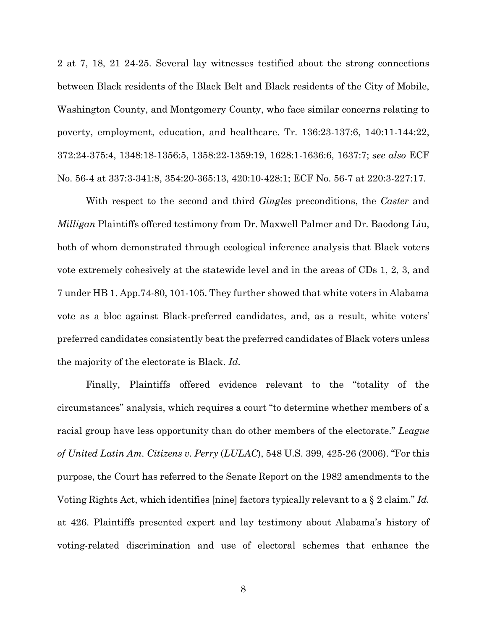2 at 7, 18, 21 24-25. Several lay witnesses testified about the strong connections between Black residents of the Black Belt and Black residents of the City of Mobile, Washington County, and Montgomery County, who face similar concerns relating to poverty, employment, education, and healthcare. Tr. 136:23-137:6, 140:11-144:22, 372:24-375:4, 1348:18-1356:5, 1358:22-1359:19, 1628:1-1636:6, 1637:7; *see also* ECF No. 56-4 at 337:3-341:8, 354:20-365:13, 420:10-428:1; ECF No. 56-7 at 220:3-227:17.

With respect to the second and third *Gingles* preconditions, the *Caster* and *Milligan* Plaintiffs offered testimony from Dr. Maxwell Palmer and Dr. Baodong Liu, both of whom demonstrated through ecological inference analysis that Black voters vote extremely cohesively at the statewide level and in the areas of CDs 1, 2, 3, and 7 under HB 1. App.74-80, 101-105. They further showed that white voters in Alabama vote as a bloc against Black-preferred candidates, and, as a result, white voters' preferred candidates consistently beat the preferred candidates of Black voters unless the majority of the electorate is Black. *Id.*

Finally, Plaintiffs offered evidence relevant to the "totality of the circumstances" analysis, which requires a court "to determine whether members of a racial group have less opportunity than do other members of the electorate." *League of United Latin Am. Citizens v. Perry* (*LULAC*), 548 U.S. 399, 425-26 (2006). "For this purpose, the Court has referred to the Senate Report on the 1982 amendments to the Voting Rights Act, which identifies [nine] factors typically relevant to a § 2 claim." *Id.* at 426. Plaintiffs presented expert and lay testimony about Alabama's history of voting-related discrimination and use of electoral schemes that enhance the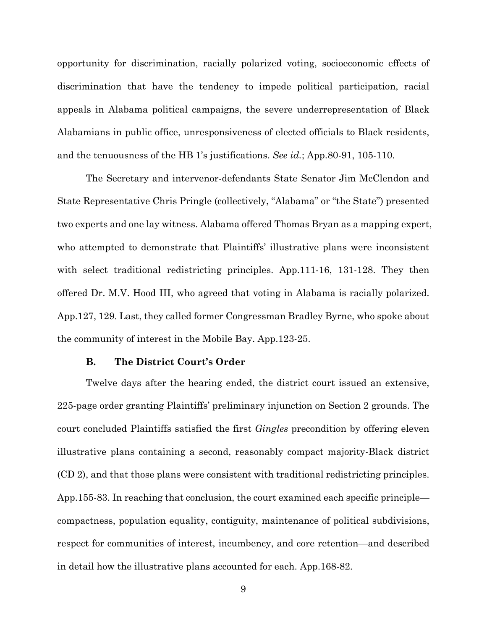opportunity for discrimination, racially polarized voting, socioeconomic effects of discrimination that have the tendency to impede political participation, racial appeals in Alabama political campaigns, the severe underrepresentation of Black Alabamians in public office, unresponsiveness of elected officials to Black residents, and the tenuousness of the HB 1's justifications. *See id.*; App.80-91, 105-110.

The Secretary and intervenor-defendants State Senator Jim McClendon and State Representative Chris Pringle (collectively, "Alabama" or "the State") presented two experts and one lay witness. Alabama offered Thomas Bryan as a mapping expert, who attempted to demonstrate that Plaintiffs' illustrative plans were inconsistent with select traditional redistricting principles. App. 111-16, 131-128. They then offered Dr. M.V. Hood III, who agreed that voting in Alabama is racially polarized. App.127, 129. Last, they called former Congressman Bradley Byrne, who spoke about the community of interest in the Mobile Bay. App.123-25.

#### **B. The District Court's Order**

Twelve days after the hearing ended, the district court issued an extensive, 225-page order granting Plaintiffs' preliminary injunction on Section 2 grounds. The court concluded Plaintiffs satisfied the first *Gingles* precondition by offering eleven illustrative plans containing a second, reasonably compact majority-Black district (CD 2), and that those plans were consistent with traditional redistricting principles. App.155-83. In reaching that conclusion, the court examined each specific principle compactness, population equality, contiguity, maintenance of political subdivisions, respect for communities of interest, incumbency, and core retention—and described in detail how the illustrative plans accounted for each. App.168-82.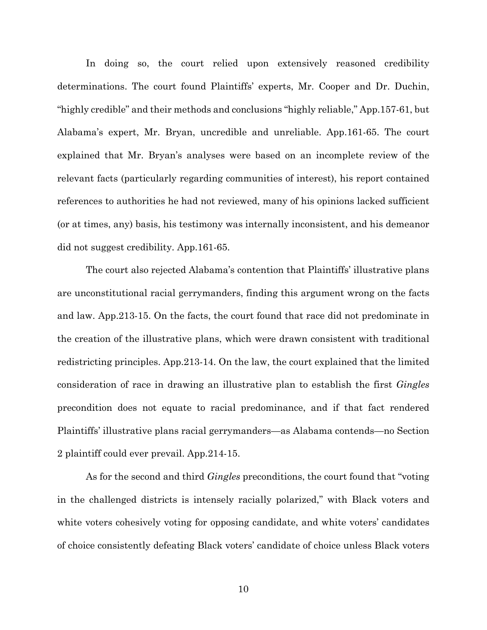In doing so, the court relied upon extensively reasoned credibility determinations. The court found Plaintiffs' experts, Mr. Cooper and Dr. Duchin, "highly credible" and their methods and conclusions "highly reliable," App.157-61, but Alabama's expert, Mr. Bryan, uncredible and unreliable. App.161-65. The court explained that Mr. Bryan's analyses were based on an incomplete review of the relevant facts (particularly regarding communities of interest), his report contained references to authorities he had not reviewed, many of his opinions lacked sufficient (or at times, any) basis, his testimony was internally inconsistent, and his demeanor did not suggest credibility. App.161-65.

The court also rejected Alabama's contention that Plaintiffs' illustrative plans are unconstitutional racial gerrymanders, finding this argument wrong on the facts and law. App.213-15. On the facts, the court found that race did not predominate in the creation of the illustrative plans, which were drawn consistent with traditional redistricting principles. App.213-14. On the law, the court explained that the limited consideration of race in drawing an illustrative plan to establish the first *Gingles* precondition does not equate to racial predominance, and if that fact rendered Plaintiffs' illustrative plans racial gerrymanders—as Alabama contends—no Section 2 plaintiff could ever prevail. App.214-15.

As for the second and third *Gingles* preconditions, the court found that "voting in the challenged districts is intensely racially polarized," with Black voters and white voters cohesively voting for opposing candidate, and white voters' candidates of choice consistently defeating Black voters' candidate of choice unless Black voters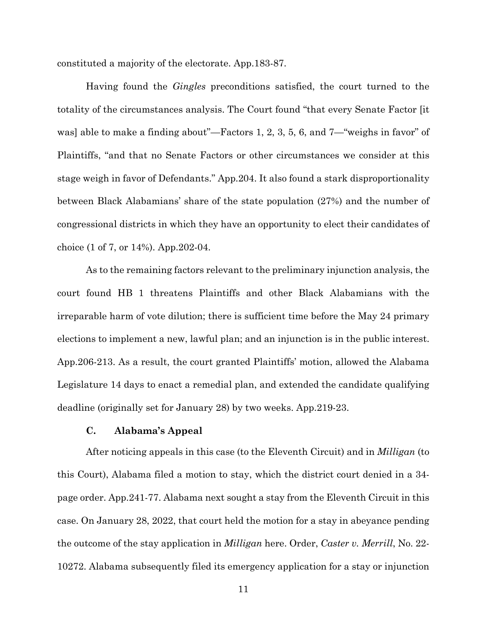constituted a majority of the electorate. App.183-87.

Having found the *Gingles* preconditions satisfied, the court turned to the totality of the circumstances analysis. The Court found "that every Senate Factor [it was] able to make a finding about"—Factors 1, 2, 3, 5, 6, and 7—"weighs in favor" of Plaintiffs, "and that no Senate Factors or other circumstances we consider at this stage weigh in favor of Defendants." App.204. It also found a stark disproportionality between Black Alabamians' share of the state population (27%) and the number of congressional districts in which they have an opportunity to elect their candidates of choice (1 of 7, or 14%). App.202-04.

As to the remaining factors relevant to the preliminary injunction analysis, the court found HB 1 threatens Plaintiffs and other Black Alabamians with the irreparable harm of vote dilution; there is sufficient time before the May 24 primary elections to implement a new, lawful plan; and an injunction is in the public interest. App.206-213. As a result, the court granted Plaintiffs' motion, allowed the Alabama Legislature 14 days to enact a remedial plan, and extended the candidate qualifying deadline (originally set for January 28) by two weeks. App.219-23.

#### **C. Alabama's Appeal**

After noticing appeals in this case (to the Eleventh Circuit) and in *Milligan* (to this Court), Alabama filed a motion to stay, which the district court denied in a 34 page order. App.241-77. Alabama next sought a stay from the Eleventh Circuit in this case. On January 28, 2022, that court held the motion for a stay in abeyance pending the outcome of the stay application in *Milligan* here. Order, *Caster v. Merrill*, No. 22- 10272. Alabama subsequently filed its emergency application for a stay or injunction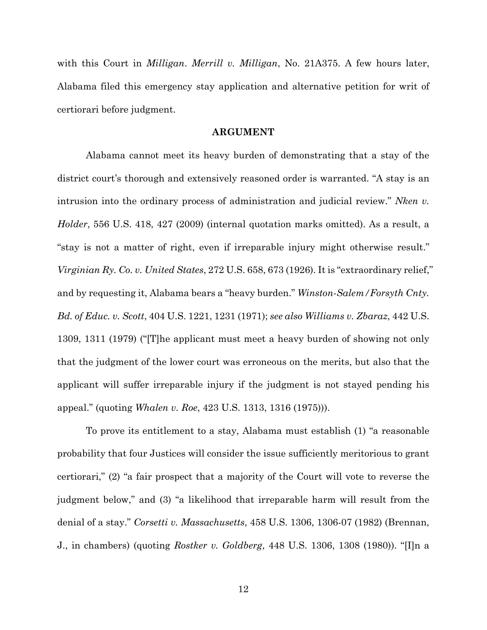with this Court in *Milligan*. *Merrill v. Milligan*, No. 21A375. A few hours later, Alabama filed this emergency stay application and alternative petition for writ of certiorari before judgment.

#### **ARGUMENT**

Alabama cannot meet its heavy burden of demonstrating that a stay of the district court's thorough and extensively reasoned order is warranted. "A stay is an intrusion into the ordinary process of administration and judicial review." *Nken v. Holder*, 556 U.S. 418, 427 (2009) (internal quotation marks omitted). As a result, a "stay is not a matter of right, even if irreparable injury might otherwise result." *Virginian Ry. Co. v. United States*, 272 U.S. 658, 673 (1926). It is "extraordinary relief," and by requesting it, Alabama bears a "heavy burden." *Winston-Salem/Forsyth Cnty. Bd. of Educ. v. Scott*, 404 U.S. 1221, 1231 (1971); *see also Williams v. Zbaraz*, 442 U.S. 1309, 1311 (1979) ("[T]he applicant must meet a heavy burden of showing not only that the judgment of the lower court was erroneous on the merits, but also that the applicant will suffer irreparable injury if the judgment is not stayed pending his appeal." (quoting *Whalen v. Roe*, 423 U.S. 1313, 1316 (1975))).

To prove its entitlement to a stay, Alabama must establish (1) "a reasonable probability that four Justices will consider the issue sufficiently meritorious to grant certiorari," (2) "a fair prospect that a majority of the Court will vote to reverse the judgment below," and (3) "a likelihood that irreparable harm will result from the denial of a stay." *Corsetti v. Massachusetts*, 458 U.S. 1306, 1306-07 (1982) (Brennan, J., in chambers) (quoting *Rostker v. Goldberg*, 448 U.S. 1306, 1308 (1980)). "[I]n a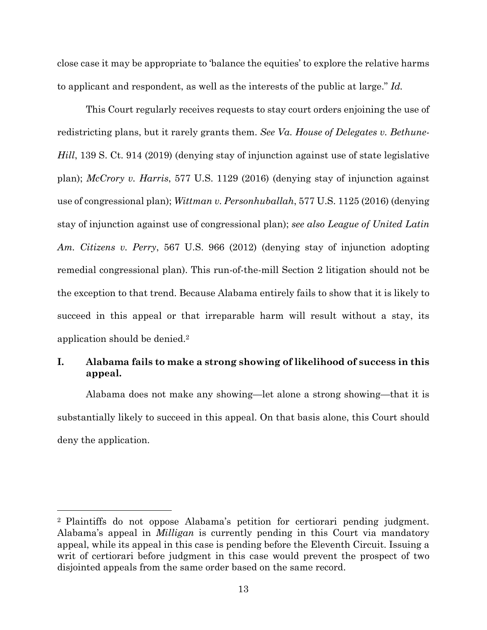close case it may be appropriate to 'balance the equities' to explore the relative harms to applicant and respondent, as well as the interests of the public at large." *Id.*

This Court regularly receives requests to stay court orders enjoining the use of redistricting plans, but it rarely grants them. *See Va. House of Delegates v. Bethune-Hill*, 139 S. Ct. 914 (2019) (denying stay of injunction against use of state legislative plan); *McCrory v. Harris*, 577 U.S. 1129 (2016) (denying stay of injunction against use of congressional plan); *Wittman v. Personhuballah*, 577 U.S. 1125 (2016) (denying stay of injunction against use of congressional plan); *see also League of United Latin Am. Citizens v. Perry*, 567 U.S. 966 (2012) (denying stay of injunction adopting remedial congressional plan). This run-of-the-mill Section 2 litigation should not be the exception to that trend. Because Alabama entirely fails to show that it is likely to succeed in this appeal or that irreparable harm will result without a stay, its application should be denied.2

## **I. Alabama fails to make a strong showing of likelihood of success in this appeal.**

Alabama does not make any showing—let alone a strong showing—that it is substantially likely to succeed in this appeal. On that basis alone, this Court should deny the application.

<sup>2</sup> Plaintiffs do not oppose Alabama's petition for certiorari pending judgment. Alabama's appeal in *Milligan* is currently pending in this Court via mandatory appeal, while its appeal in this case is pending before the Eleventh Circuit. Issuing a writ of certiorari before judgment in this case would prevent the prospect of two disjointed appeals from the same order based on the same record.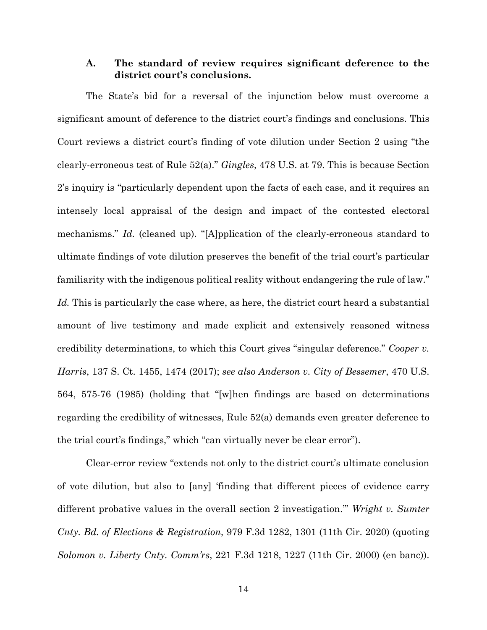## **A. The standard of review requires significant deference to the district court's conclusions.**

The State's bid for a reversal of the injunction below must overcome a significant amount of deference to the district court's findings and conclusions. This Court reviews a district court's finding of vote dilution under Section 2 using "the clearly-erroneous test of Rule 52(a)." *Gingles*, 478 U.S. at 79. This is because Section 2's inquiry is "particularly dependent upon the facts of each case, and it requires an intensely local appraisal of the design and impact of the contested electoral mechanisms." *Id.* (cleaned up). "[A]pplication of the clearly-erroneous standard to ultimate findings of vote dilution preserves the benefit of the trial court's particular familiarity with the indigenous political reality without endangering the rule of law." *Id.* This is particularly the case where, as here, the district court heard a substantial amount of live testimony and made explicit and extensively reasoned witness credibility determinations, to which this Court gives "singular deference." *Cooper v. Harris*, 137 S. Ct. 1455, 1474 (2017); *see also Anderson v. City of Bessemer*, 470 U.S. 564, 575-76 (1985) (holding that "[w]hen findings are based on determinations regarding the credibility of witnesses, Rule 52(a) demands even greater deference to the trial court's findings," which "can virtually never be clear error").

Clear-error review "extends not only to the district court's ultimate conclusion of vote dilution, but also to [any] 'finding that different pieces of evidence carry different probative values in the overall section 2 investigation.'" *Wright v. Sumter Cnty. Bd. of Elections & Registration*, 979 F.3d 1282, 1301 (11th Cir. 2020) (quoting *Solomon v. Liberty Cnty. Comm'rs*, 221 F.3d 1218, 1227 (11th Cir. 2000) (en banc)).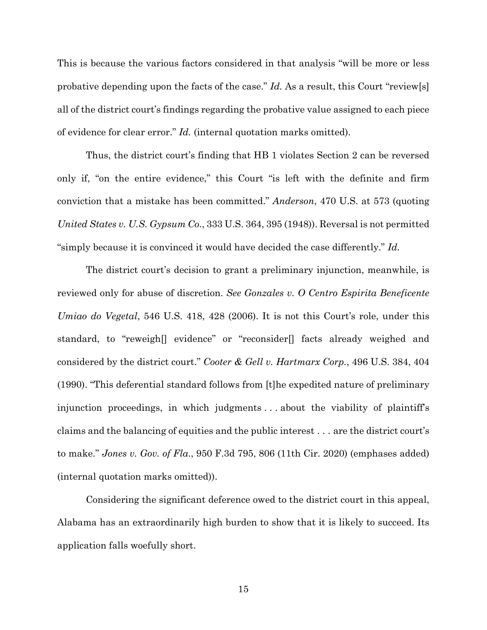This is because the various factors considered in that analysis "will be more or less probative depending upon the facts of the case." *Id.* As a result, this Court "review[s] all of the district court's findings regarding the probative value assigned to each piece of evidence for clear error." *Id.* (internal quotation marks omitted).

Thus, the district court's finding that HB 1 violates Section 2 can be reversed only if, "on the entire evidence," this Court "is left with the definite and firm conviction that a mistake has been committed." *Anderson*, 470 U.S. at 573 (quoting *United States v. U.S. Gypsum Co.*, 333 U.S. 364, 395 (1948)). Reversal is not permitted "simply because it is convinced it would have decided the case differently." *Id.* 

The district court's decision to grant a preliminary injunction, meanwhile, is reviewed only for abuse of discretion. *See Gonzales v. O Centro Espirita Beneficente Umiao do Vegetal*, 546 U.S. 418, 428 (2006). It is not this Court's role, under this standard, to "reweigh[] evidence" or "reconsider[] facts already weighed and considered by the district court." *Cooter & Gell v. Hartmarx Corp.*, 496 U.S. 384, 404 (1990). "This deferential standard follows from [t]he expedited nature of preliminary injunction proceedings, in which judgments . . . about the viability of plaintiff's claims and the balancing of equities and the public interest . . . are the district court's to make." *Jones v. Gov. of Fla*., 950 F.3d 795, 806 (11th Cir. 2020) (emphases added) (internal quotation marks omitted)).

Considering the significant deference owed to the district court in this appeal, Alabama has an extraordinarily high burden to show that it is likely to succeed. Its application falls woefully short.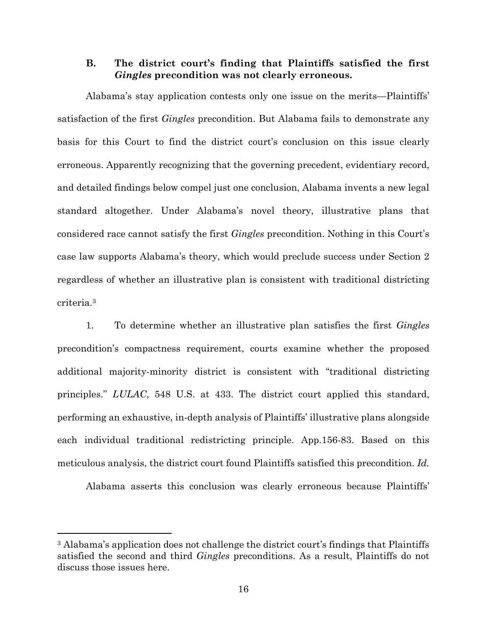## **B. The district court's finding that Plaintiffs satisfied the first**  *Gingles* **precondition was not clearly erroneous.**

Alabama's stay application contests only one issue on the merits—Plaintiffs' satisfaction of the first *Gingles* precondition. But Alabama fails to demonstrate any basis for this Court to find the district court's conclusion on this issue clearly erroneous. Apparently recognizing that the governing precedent, evidentiary record, and detailed findings below compel just one conclusion, Alabama invents a new legal standard altogether. Under Alabama's novel theory, illustrative plans that considered race cannot satisfy the first *Gingles* precondition. Nothing in this Court's case law supports Alabama's theory, which would preclude success under Section 2 regardless of whether an illustrative plan is consistent with traditional districting criteria.3

1. To determine whether an illustrative plan satisfies the first *Gingles* precondition's compactness requirement, courts examine whether the proposed additional majority-minority district is consistent with "traditional districting principles." *LULAC*, 548 U.S. at 433. The district court applied this standard, performing an exhaustive, in-depth analysis of Plaintiffs' illustrative plans alongside each individual traditional redistricting principle. App.156-83. Based on this meticulous analysis, the district court found Plaintiffs satisfied this precondition. *Id.*

Alabama asserts this conclusion was clearly erroneous because Plaintiffs'

<sup>&</sup>lt;sup>3</sup> Alabama's application does not challenge the district court's findings that Plaintiffs satisfied the second and third *Gingles* preconditions. As a result, Plaintiffs do not discuss those issues here.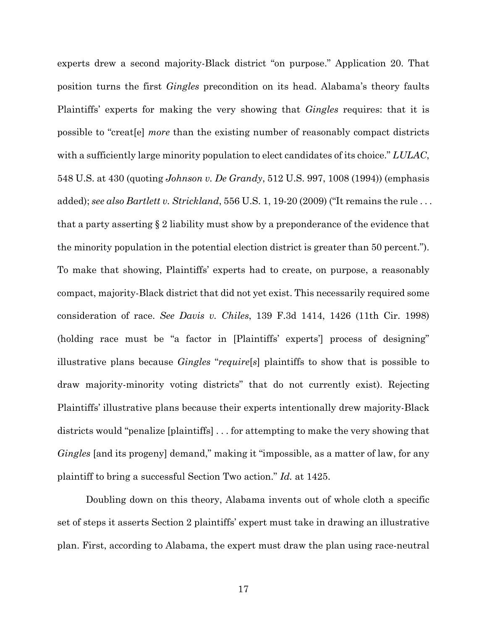experts drew a second majority-Black district "on purpose." Application 20. That position turns the first *Gingles* precondition on its head. Alabama's theory faults Plaintiffs' experts for making the very showing that *Gingles* requires: that it is possible to "creat[e] *more* than the existing number of reasonably compact districts with a sufficiently large minority population to elect candidates of its choice." *LULAC*, 548 U.S. at 430 (quoting *Johnson v. De Grandy*, 512 U.S. 997, 1008 (1994)) (emphasis added); *see also Bartlett v. Strickland*, 556 U.S. 1, 19-20 (2009) ("It remains the rule . . . that a party asserting § 2 liability must show by a preponderance of the evidence that the minority population in the potential election district is greater than 50 percent."). To make that showing, Plaintiffs' experts had to create, on purpose, a reasonably compact, majority-Black district that did not yet exist. This necessarily required some consideration of race. *See Davis v. Chiles*, 139 F.3d 1414, 1426 (11th Cir. 1998) (holding race must be "a factor in [Plaintiffs' experts'] process of designing" illustrative plans because *Gingles* "*require*[*s*] plaintiffs to show that is possible to draw majority-minority voting districts" that do not currently exist). Rejecting Plaintiffs' illustrative plans because their experts intentionally drew majority-Black districts would "penalize [plaintiffs] . . . for attempting to make the very showing that *Gingles* [and its progeny] demand," making it "impossible, as a matter of law, for any plaintiff to bring a successful Section Two action." *Id.* at 1425.

Doubling down on this theory, Alabama invents out of whole cloth a specific set of steps it asserts Section 2 plaintiffs' expert must take in drawing an illustrative plan. First, according to Alabama, the expert must draw the plan using race-neutral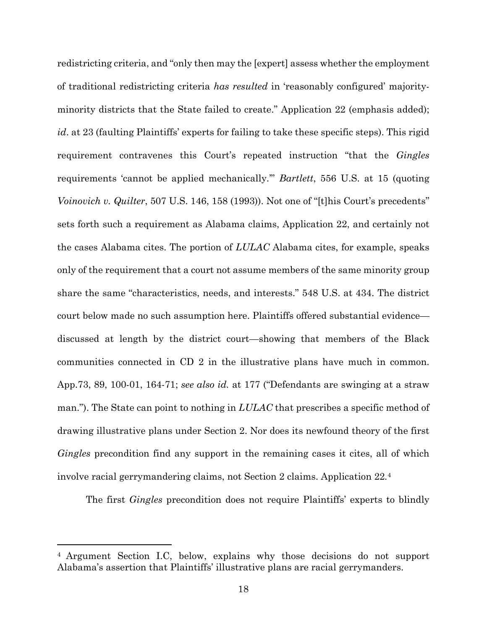redistricting criteria, and "only then may the [expert] assess whether the employment of traditional redistricting criteria *has resulted* in 'reasonably configured' majorityminority districts that the State failed to create." Application 22 (emphasis added); *id*. at 23 (faulting Plaintiffs' experts for failing to take these specific steps). This rigid requirement contravenes this Court's repeated instruction "that the *Gingles* requirements 'cannot be applied mechanically.'" *Bartlett*, 556 U.S. at 15 (quoting *Voinovich v. Quilter*, 507 U.S. 146, 158 (1993)). Not one of "[t]his Court's precedents" sets forth such a requirement as Alabama claims, Application 22, and certainly not the cases Alabama cites. The portion of *LULAC* Alabama cites, for example, speaks only of the requirement that a court not assume members of the same minority group share the same "characteristics, needs, and interests." 548 U.S. at 434. The district court below made no such assumption here. Plaintiffs offered substantial evidence discussed at length by the district court—showing that members of the Black communities connected in CD 2 in the illustrative plans have much in common. App.73, 89, 100-01, 164-71; *see also id.* at 177 ("Defendants are swinging at a straw man."). The State can point to nothing in *LULAC* that prescribes a specific method of drawing illustrative plans under Section 2. Nor does its newfound theory of the first *Gingles* precondition find any support in the remaining cases it cites, all of which involve racial gerrymandering claims, not Section 2 claims. Application 22*.*4

The first *Gingles* precondition does not require Plaintiffs' experts to blindly

<sup>4</sup> Argument Section I.C, below, explains why those decisions do not support Alabama's assertion that Plaintiffs' illustrative plans are racial gerrymanders.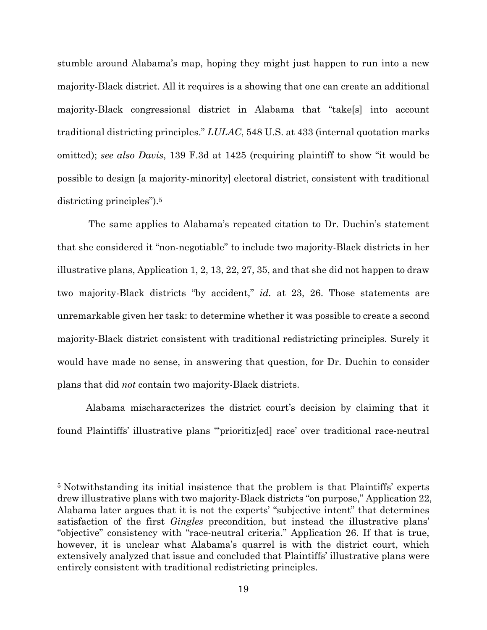stumble around Alabama's map, hoping they might just happen to run into a new majority-Black district. All it requires is a showing that one can create an additional majority-Black congressional district in Alabama that "take[s] into account traditional districting principles." *LULAC*, 548 U.S. at 433 (internal quotation marks omitted); *see also Davis*, 139 F.3d at 1425 (requiring plaintiff to show "it would be possible to design [a majority-minority] electoral district, consistent with traditional districting principles").5

 The same applies to Alabama's repeated citation to Dr. Duchin's statement that she considered it "non-negotiable" to include two majority-Black districts in her illustrative plans, Application 1, 2, 13, 22, 27, 35, and that she did not happen to draw two majority-Black districts "by accident," *id.* at 23, 26. Those statements are unremarkable given her task: to determine whether it was possible to create a second majority-Black district consistent with traditional redistricting principles. Surely it would have made no sense, in answering that question, for Dr. Duchin to consider plans that did *not* contain two majority-Black districts.

Alabama mischaracterizes the district court's decision by claiming that it found Plaintiffs' illustrative plans "'prioritiz[ed] race' over traditional race-neutral

<sup>5</sup> Notwithstanding its initial insistence that the problem is that Plaintiffs' experts drew illustrative plans with two majority-Black districts "on purpose," Application 22, Alabama later argues that it is not the experts' "subjective intent" that determines satisfaction of the first *Gingles* precondition, but instead the illustrative plans' "objective" consistency with "race-neutral criteria." Application 26. If that is true, however, it is unclear what Alabama's quarrel is with the district court, which extensively analyzed that issue and concluded that Plaintiffs' illustrative plans were entirely consistent with traditional redistricting principles.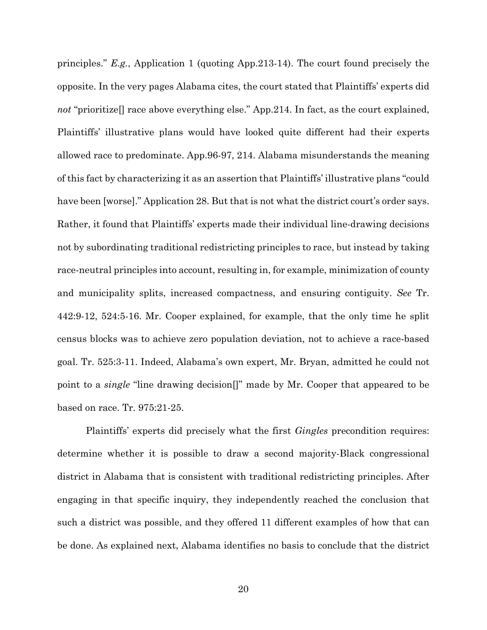principles." *E.g.*, Application 1 (quoting App.213-14). The court found precisely the opposite. In the very pages Alabama cites, the court stated that Plaintiffs' experts did *not* "prioritize<sup>[]</sup> race above everything else." App. 214. In fact, as the court explained, Plaintiffs' illustrative plans would have looked quite different had their experts allowed race to predominate. App.96-97, 214. Alabama misunderstands the meaning of this fact by characterizing it as an assertion that Plaintiffs' illustrative plans "could have been [worse]." Application 28. But that is not what the district court's order says. Rather, it found that Plaintiffs' experts made their individual line-drawing decisions not by subordinating traditional redistricting principles to race, but instead by taking race-neutral principles into account, resulting in, for example, minimization of county and municipality splits, increased compactness, and ensuring contiguity. *See* Tr. 442:9-12, 524:5-16. Mr. Cooper explained, for example, that the only time he split census blocks was to achieve zero population deviation, not to achieve a race-based goal. Tr. 525:3-11. Indeed, Alabama's own expert, Mr. Bryan, admitted he could not point to a *single* "line drawing decision[]" made by Mr. Cooper that appeared to be based on race. Tr. 975:21-25.

Plaintiffs' experts did precisely what the first *Gingles* precondition requires: determine whether it is possible to draw a second majority-Black congressional district in Alabama that is consistent with traditional redistricting principles. After engaging in that specific inquiry, they independently reached the conclusion that such a district was possible, and they offered 11 different examples of how that can be done. As explained next, Alabama identifies no basis to conclude that the district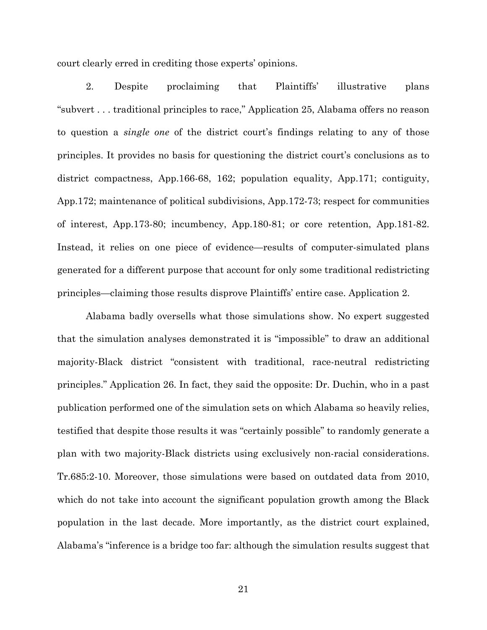court clearly erred in crediting those experts' opinions.

2. Despite proclaiming that Plaintiffs' illustrative plans "subvert . . . traditional principles to race," Application 25, Alabama offers no reason to question a *single one* of the district court's findings relating to any of those principles. It provides no basis for questioning the district court's conclusions as to district compactness, App.166-68, 162; population equality, App.171; contiguity, App.172; maintenance of political subdivisions, App.172-73; respect for communities of interest, App.173-80; incumbency, App.180-81; or core retention, App.181-82. Instead, it relies on one piece of evidence—results of computer-simulated plans generated for a different purpose that account for only some traditional redistricting principles—claiming those results disprove Plaintiffs' entire case. Application 2.

Alabama badly oversells what those simulations show. No expert suggested that the simulation analyses demonstrated it is "impossible" to draw an additional majority-Black district "consistent with traditional, race-neutral redistricting principles." Application 26. In fact, they said the opposite: Dr. Duchin, who in a past publication performed one of the simulation sets on which Alabama so heavily relies, testified that despite those results it was "certainly possible" to randomly generate a plan with two majority-Black districts using exclusively non-racial considerations. Tr.685:2-10. Moreover, those simulations were based on outdated data from 2010, which do not take into account the significant population growth among the Black population in the last decade. More importantly, as the district court explained, Alabama's "inference is a bridge too far: although the simulation results suggest that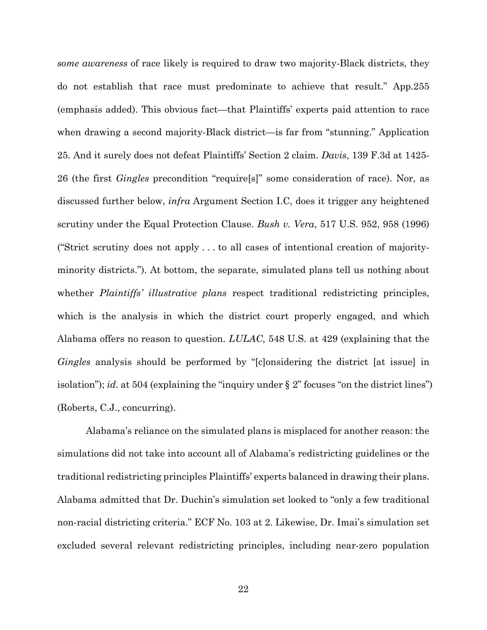*some awareness* of race likely is required to draw two majority-Black districts, they do not establish that race must predominate to achieve that result." App.255 (emphasis added). This obvious fact—that Plaintiffs' experts paid attention to race when drawing a second majority-Black district—is far from "stunning." Application 25. And it surely does not defeat Plaintiffs' Section 2 claim. *Davis*, 139 F.3d at 1425- 26 (the first *Gingles* precondition "require[s]" some consideration of race). Nor, as discussed further below, *infra* Argument Section I.C, does it trigger any heightened scrutiny under the Equal Protection Clause. *Bush v. Vera*, 517 U.S. 952, 958 (1996) ("Strict scrutiny does not apply . . . to all cases of intentional creation of majorityminority districts."). At bottom, the separate, simulated plans tell us nothing about whether *Plaintiffs' illustrative plans* respect traditional redistricting principles, which is the analysis in which the district court properly engaged, and which Alabama offers no reason to question. *LULAC*, 548 U.S. at 429 (explaining that the *Gingles* analysis should be performed by "[c]onsidering the district [at issue] in isolation"); *id.* at 504 (explaining the "inquiry under § 2" focuses "on the district lines") (Roberts, C.J., concurring).

Alabama's reliance on the simulated plans is misplaced for another reason: the simulations did not take into account all of Alabama's redistricting guidelines or the traditional redistricting principles Plaintiffs' experts balanced in drawing their plans. Alabama admitted that Dr. Duchin's simulation set looked to "only a few traditional non-racial districting criteria." ECF No. 103 at 2. Likewise, Dr. Imai's simulation set excluded several relevant redistricting principles, including near-zero population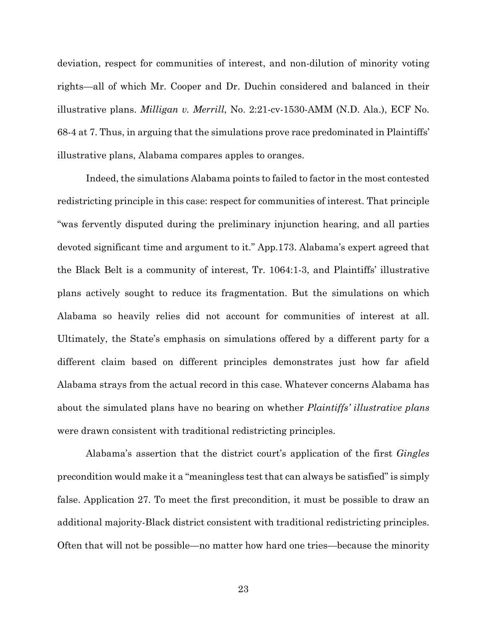deviation, respect for communities of interest, and non-dilution of minority voting rights—all of which Mr. Cooper and Dr. Duchin considered and balanced in their illustrative plans. *Milligan v. Merrill*, No. 2:21-cv-1530-AMM (N.D. Ala.), ECF No. 68-4 at 7. Thus, in arguing that the simulations prove race predominated in Plaintiffs' illustrative plans, Alabama compares apples to oranges.

Indeed, the simulations Alabama points to failed to factor in the most contested redistricting principle in this case: respect for communities of interest. That principle "was fervently disputed during the preliminary injunction hearing, and all parties devoted significant time and argument to it." App.173. Alabama's expert agreed that the Black Belt is a community of interest, Tr. 1064:1-3, and Plaintiffs' illustrative plans actively sought to reduce its fragmentation. But the simulations on which Alabama so heavily relies did not account for communities of interest at all. Ultimately, the State's emphasis on simulations offered by a different party for a different claim based on different principles demonstrates just how far afield Alabama strays from the actual record in this case. Whatever concerns Alabama has about the simulated plans have no bearing on whether *Plaintiffs' illustrative plans* were drawn consistent with traditional redistricting principles.

Alabama's assertion that the district court's application of the first *Gingles* precondition would make it a "meaningless test that can always be satisfied" is simply false. Application 27. To meet the first precondition, it must be possible to draw an additional majority-Black district consistent with traditional redistricting principles. Often that will not be possible—no matter how hard one tries—because the minority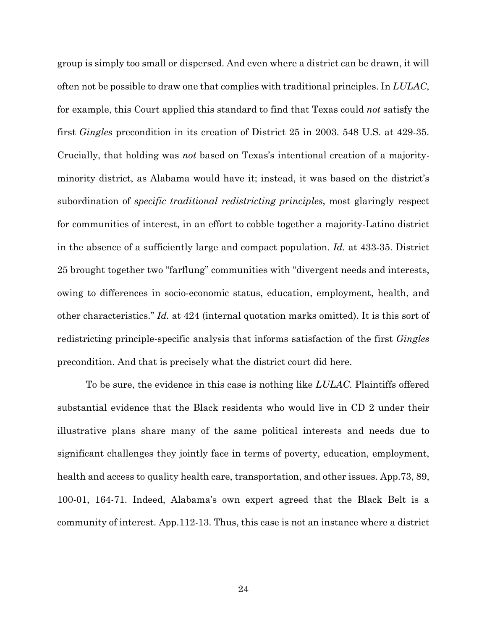group is simply too small or dispersed. And even where a district can be drawn, it will often not be possible to draw one that complies with traditional principles. In *LULAC*, for example, this Court applied this standard to find that Texas could *not* satisfy the first *Gingles* precondition in its creation of District 25 in 2003. 548 U.S. at 429-35. Crucially, that holding was *not* based on Texas's intentional creation of a majorityminority district, as Alabama would have it; instead, it was based on the district's subordination of *specific traditional redistricting principles*, most glaringly respect for communities of interest, in an effort to cobble together a majority-Latino district in the absence of a sufficiently large and compact population. *Id.* at 433-35. District 25 brought together two "farflung" communities with "divergent needs and interests, owing to differences in socio-economic status, education, employment, health, and other characteristics." *Id.* at 424 (internal quotation marks omitted). It is this sort of redistricting principle-specific analysis that informs satisfaction of the first *Gingles* precondition. And that is precisely what the district court did here.

To be sure, the evidence in this case is nothing like *LULAC*. Plaintiffs offered substantial evidence that the Black residents who would live in CD 2 under their illustrative plans share many of the same political interests and needs due to significant challenges they jointly face in terms of poverty, education, employment, health and access to quality health care, transportation, and other issues. App. 73, 89, 100-01, 164-71. Indeed, Alabama's own expert agreed that the Black Belt is a community of interest. App.112-13. Thus, this case is not an instance where a district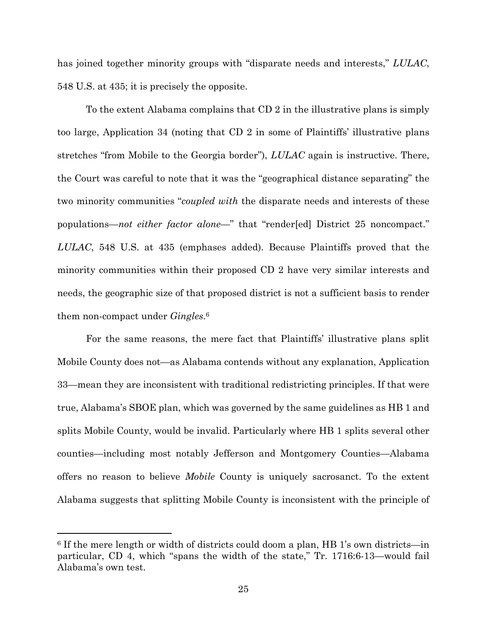has joined together minority groups with "disparate needs and interests," *LULAC*, 548 U.S. at 435; it is precisely the opposite.

To the extent Alabama complains that CD 2 in the illustrative plans is simply too large, Application 34 (noting that CD 2 in some of Plaintiffs' illustrative plans stretches "from Mobile to the Georgia border"), *LULAC* again is instructive. There, the Court was careful to note that it was the "geographical distance separating" the two minority communities "*coupled with* the disparate needs and interests of these populations—*not either factor alone*—" that "render[ed] District 25 noncompact." *LULAC*, 548 U.S. at 435 (emphases added). Because Plaintiffs proved that the minority communities within their proposed CD 2 have very similar interests and needs, the geographic size of that proposed district is not a sufficient basis to render them non-compact under *Gingles*.6

For the same reasons, the mere fact that Plaintiffs' illustrative plans split Mobile County does not—as Alabama contends without any explanation, Application 33—mean they are inconsistent with traditional redistricting principles. If that were true, Alabama's SBOE plan, which was governed by the same guidelines as HB 1 and splits Mobile County, would be invalid. Particularly where HB 1 splits several other counties—including most notably Jefferson and Montgomery Counties—Alabama offers no reason to believe *Mobile* County is uniquely sacrosanct. To the extent Alabama suggests that splitting Mobile County is inconsistent with the principle of

<sup>6</sup> If the mere length or width of districts could doom a plan, HB 1's own districts—in particular, CD 4, which "spans the width of the state," Tr. 1716:6-13—would fail Alabama's own test.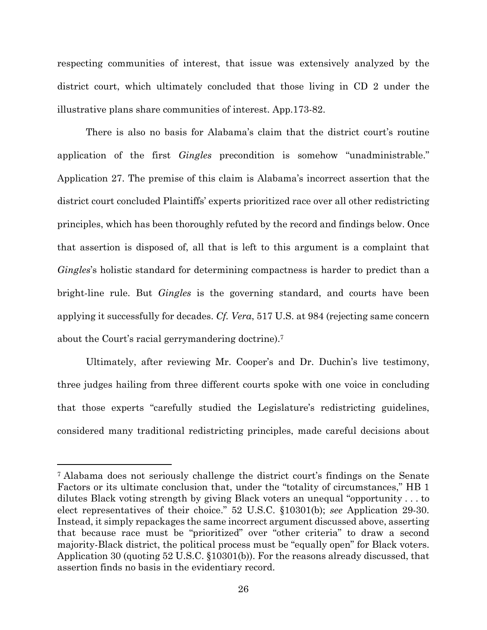respecting communities of interest, that issue was extensively analyzed by the district court, which ultimately concluded that those living in CD 2 under the illustrative plans share communities of interest. App.173-82.

There is also no basis for Alabama's claim that the district court's routine application of the first *Gingles* precondition is somehow "unadministrable." Application 27. The premise of this claim is Alabama's incorrect assertion that the district court concluded Plaintiffs' experts prioritized race over all other redistricting principles, which has been thoroughly refuted by the record and findings below. Once that assertion is disposed of, all that is left to this argument is a complaint that *Gingles*'s holistic standard for determining compactness is harder to predict than a bright-line rule. But *Gingles* is the governing standard, and courts have been applying it successfully for decades. *Cf. Vera*, 517 U.S. at 984 (rejecting same concern about the Court's racial gerrymandering doctrine).7

Ultimately, after reviewing Mr. Cooper's and Dr. Duchin's live testimony, three judges hailing from three different courts spoke with one voice in concluding that those experts "carefully studied the Legislature's redistricting guidelines, considered many traditional redistricting principles, made careful decisions about

<sup>7</sup> Alabama does not seriously challenge the district court's findings on the Senate Factors or its ultimate conclusion that, under the "totality of circumstances," HB 1 dilutes Black voting strength by giving Black voters an unequal "opportunity . . . to elect representatives of their choice." 52 U.S.C. §10301(b); *see* Application 29-30. Instead, it simply repackages the same incorrect argument discussed above, asserting that because race must be "prioritized" over "other criteria" to draw a second majority-Black district, the political process must be "equally open" for Black voters. Application 30 (quoting 52 U.S.C. §10301(b)). For the reasons already discussed, that assertion finds no basis in the evidentiary record.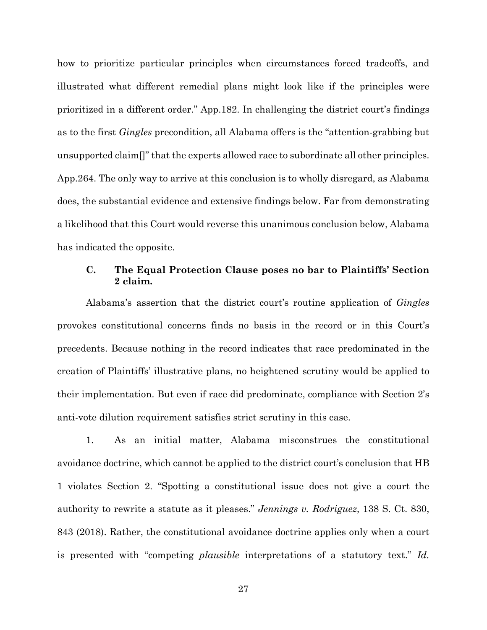how to prioritize particular principles when circumstances forced tradeoffs, and illustrated what different remedial plans might look like if the principles were prioritized in a different order." App.182. In challenging the district court's findings as to the first *Gingles* precondition, all Alabama offers is the "attention-grabbing but unsupported claim[]" that the experts allowed race to subordinate all other principles. App.264. The only way to arrive at this conclusion is to wholly disregard, as Alabama does, the substantial evidence and extensive findings below. Far from demonstrating a likelihood that this Court would reverse this unanimous conclusion below, Alabama has indicated the opposite.

## **C. The Equal Protection Clause poses no bar to Plaintiffs' Section 2 claim.**

Alabama's assertion that the district court's routine application of *Gingles* provokes constitutional concerns finds no basis in the record or in this Court's precedents. Because nothing in the record indicates that race predominated in the creation of Plaintiffs' illustrative plans, no heightened scrutiny would be applied to their implementation. But even if race did predominate, compliance with Section 2's anti-vote dilution requirement satisfies strict scrutiny in this case.

1. As an initial matter, Alabama misconstrues the constitutional avoidance doctrine, which cannot be applied to the district court's conclusion that HB 1 violates Section 2. "Spotting a constitutional issue does not give a court the authority to rewrite a statute as it pleases." *Jennings v. Rodriguez*, 138 S. Ct. 830, 843 (2018). Rather, the constitutional avoidance doctrine applies only when a court is presented with "competing *plausible* interpretations of a statutory text." *Id.*

27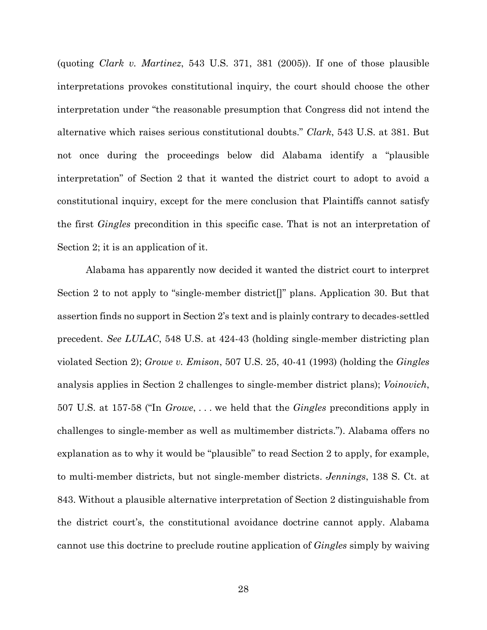(quoting *Clark v. Martinez*, 543 U.S. 371, 381 (2005)). If one of those plausible interpretations provokes constitutional inquiry, the court should choose the other interpretation under "the reasonable presumption that Congress did not intend the alternative which raises serious constitutional doubts." *Clark*, 543 U.S. at 381. But not once during the proceedings below did Alabama identify a "plausible interpretation" of Section 2 that it wanted the district court to adopt to avoid a constitutional inquiry, except for the mere conclusion that Plaintiffs cannot satisfy the first *Gingles* precondition in this specific case. That is not an interpretation of Section 2; it is an application of it.

Alabama has apparently now decided it wanted the district court to interpret Section 2 to not apply to "single-member district[]" plans. Application 30. But that assertion finds no support in Section 2's text and is plainly contrary to decades-settled precedent. *See LULAC*, 548 U.S. at 424-43 (holding single-member districting plan violated Section 2); *Growe v. Emison*, 507 U.S. 25, 40-41 (1993) (holding the *Gingles* analysis applies in Section 2 challenges to single-member district plans); *Voinovich*, 507 U.S. at 157-58 ("In *Growe*, . . . we held that the *Gingles* preconditions apply in challenges to single-member as well as multimember districts."). Alabama offers no explanation as to why it would be "plausible" to read Section 2 to apply, for example, to multi-member districts, but not single-member districts. *Jennings*, 138 S. Ct. at 843. Without a plausible alternative interpretation of Section 2 distinguishable from the district court's, the constitutional avoidance doctrine cannot apply. Alabama cannot use this doctrine to preclude routine application of *Gingles* simply by waiving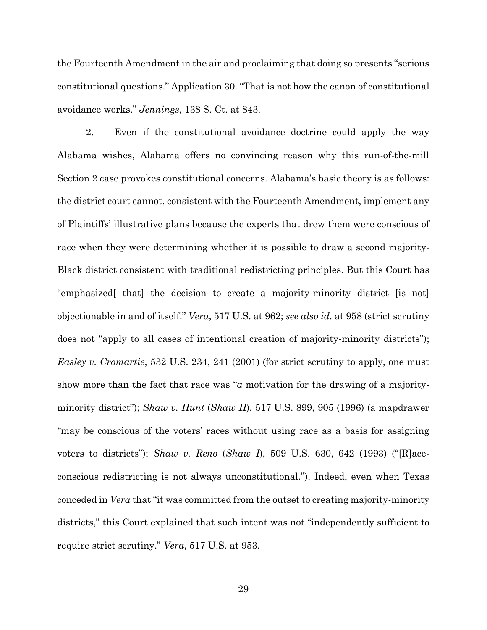the Fourteenth Amendment in the air and proclaiming that doing so presents "serious constitutional questions." Application 30. "That is not how the canon of constitutional avoidance works." *Jennings*, 138 S. Ct. at 843.

2. Even if the constitutional avoidance doctrine could apply the way Alabama wishes, Alabama offers no convincing reason why this run-of-the-mill Section 2 case provokes constitutional concerns. Alabama's basic theory is as follows: the district court cannot, consistent with the Fourteenth Amendment, implement any of Plaintiffs' illustrative plans because the experts that drew them were conscious of race when they were determining whether it is possible to draw a second majority-Black district consistent with traditional redistricting principles. But this Court has "emphasized[ that] the decision to create a majority-minority district [is not] objectionable in and of itself." *Vera*, 517 U.S. at 962; *see also id.* at 958 (strict scrutiny does not "apply to all cases of intentional creation of majority-minority districts"); *Easley v. Cromartie*, 532 U.S. 234, 241 (2001) (for strict scrutiny to apply, one must show more than the fact that race was "*a* motivation for the drawing of a majorityminority district"); *Shaw v. Hunt* (*Shaw II*), 517 U.S. 899, 905 (1996) (a mapdrawer "may be conscious of the voters' races without using race as a basis for assigning voters to districts"); *Shaw v. Reno* (*Shaw I*), 509 U.S. 630, 642 (1993) ("[R]aceconscious redistricting is not always unconstitutional."). Indeed, even when Texas conceded in *Vera* that "it was committed from the outset to creating majority-minority districts," this Court explained that such intent was not "independently sufficient to require strict scrutiny." *Vera*, 517 U.S. at 953.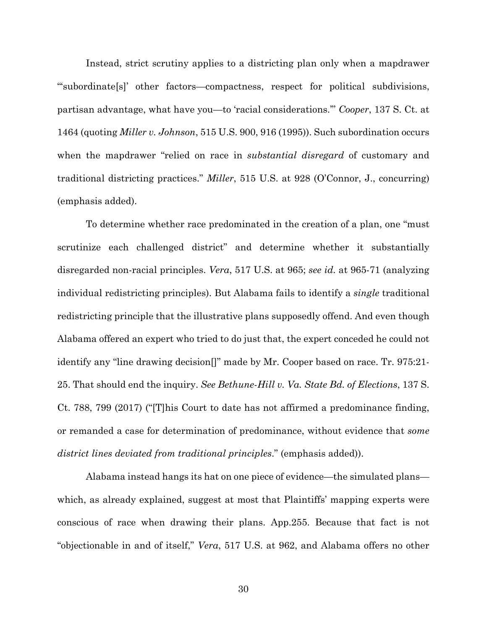Instead, strict scrutiny applies to a districting plan only when a mapdrawer "'subordinate[s]' other factors—compactness, respect for political subdivisions, partisan advantage, what have you—to 'racial considerations.'" *Cooper*, 137 S. Ct. at 1464 (quoting *Miller v. Johnson*, 515 U.S. 900, 916 (1995)). Such subordination occurs when the mapdrawer "relied on race in *substantial disregard* of customary and traditional districting practices." *Miller*, 515 U.S. at 928 (O'Connor, J., concurring) (emphasis added).

To determine whether race predominated in the creation of a plan, one "must scrutinize each challenged district" and determine whether it substantially disregarded non-racial principles. *Vera*, 517 U.S. at 965; *see id.* at 965-71 (analyzing individual redistricting principles). But Alabama fails to identify a *single* traditional redistricting principle that the illustrative plans supposedly offend. And even though Alabama offered an expert who tried to do just that, the expert conceded he could not identify any "line drawing decision[]" made by Mr. Cooper based on race. Tr. 975:21- 25. That should end the inquiry. *See Bethune-Hill v. Va. State Bd. of Elections*, 137 S. Ct. 788, 799 (2017) ("[T]his Court to date has not affirmed a predominance finding, or remanded a case for determination of predominance, without evidence that *some district lines deviated from traditional principles*." (emphasis added)).

Alabama instead hangs its hat on one piece of evidence—the simulated plans which, as already explained, suggest at most that Plaintiffs' mapping experts were conscious of race when drawing their plans. App.255. Because that fact is not "objectionable in and of itself," *Vera*, 517 U.S. at 962, and Alabama offers no other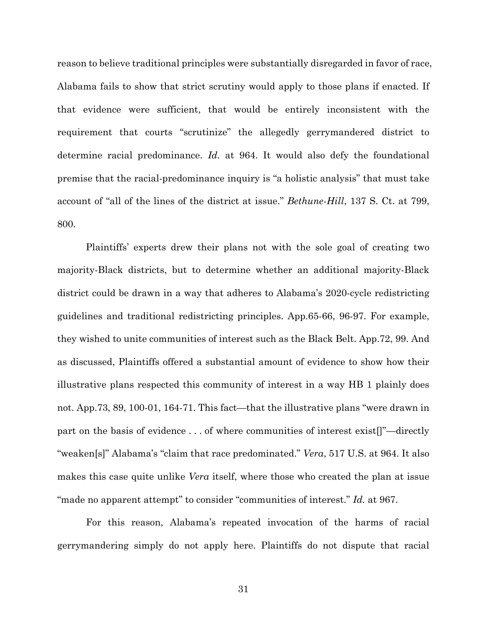reason to believe traditional principles were substantially disregarded in favor of race, Alabama fails to show that strict scrutiny would apply to those plans if enacted. If that evidence were sufficient, that would be entirely inconsistent with the requirement that courts "scrutinize" the allegedly gerrymandered district to determine racial predominance. *Id.* at 964. It would also defy the foundational premise that the racial-predominance inquiry is "a holistic analysis" that must take account of "all of the lines of the district at issue." *Bethune-Hill*, 137 S. Ct. at 799, 800.

Plaintiffs' experts drew their plans not with the sole goal of creating two majority-Black districts, but to determine whether an additional majority-Black district could be drawn in a way that adheres to Alabama's 2020-cycle redistricting guidelines and traditional redistricting principles. App.65-66, 96-97. For example, they wished to unite communities of interest such as the Black Belt. App.72, 99. And as discussed, Plaintiffs offered a substantial amount of evidence to show how their illustrative plans respected this community of interest in a way HB 1 plainly does not. App.73, 89, 100-01, 164-71. This fact—that the illustrative plans "were drawn in part on the basis of evidence . . . of where communities of interest exist[]"—directly "weaken[s]" Alabama's "claim that race predominated." *Vera*, 517 U.S. at 964. It also makes this case quite unlike *Vera* itself, where those who created the plan at issue "made no apparent attempt" to consider "communities of interest." *Id.* at 967.

For this reason, Alabama's repeated invocation of the harms of racial gerrymandering simply do not apply here. Plaintiffs do not dispute that racial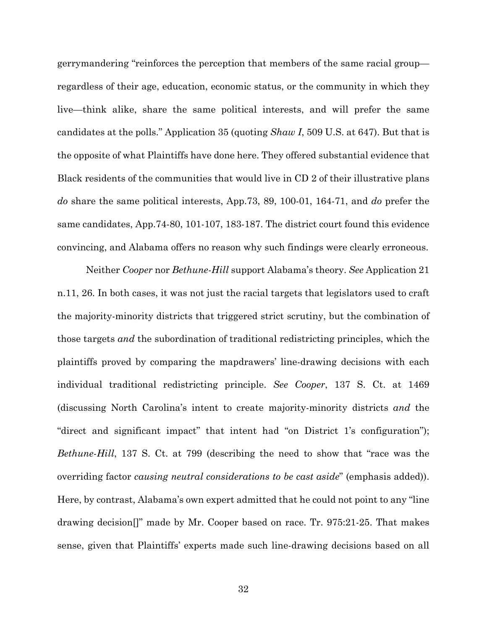gerrymandering "reinforces the perception that members of the same racial group regardless of their age, education, economic status, or the community in which they live—think alike, share the same political interests, and will prefer the same candidates at the polls." Application 35 (quoting *Shaw I*, 509 U.S. at 647). But that is the opposite of what Plaintiffs have done here. They offered substantial evidence that Black residents of the communities that would live in CD 2 of their illustrative plans *do* share the same political interests, App.73, 89, 100-01, 164-71, and *do* prefer the same candidates, App.74-80, 101-107, 183-187. The district court found this evidence convincing, and Alabama offers no reason why such findings were clearly erroneous.

Neither *Cooper* nor *Bethune-Hill* support Alabama's theory. *See* Application 21 n.11, 26. In both cases, it was not just the racial targets that legislators used to craft the majority-minority districts that triggered strict scrutiny, but the combination of those targets *and* the subordination of traditional redistricting principles, which the plaintiffs proved by comparing the mapdrawers' line-drawing decisions with each individual traditional redistricting principle. *See Cooper*, 137 S. Ct. at 1469 (discussing North Carolina's intent to create majority-minority districts *and* the "direct and significant impact" that intent had "on District 1's configuration"); *Bethune-Hill*, 137 S. Ct. at 799 (describing the need to show that "race was the overriding factor *causing neutral considerations to be cast aside*" (emphasis added)). Here, by contrast, Alabama's own expert admitted that he could not point to any "line drawing decision[]" made by Mr. Cooper based on race. Tr. 975:21-25. That makes sense, given that Plaintiffs' experts made such line-drawing decisions based on all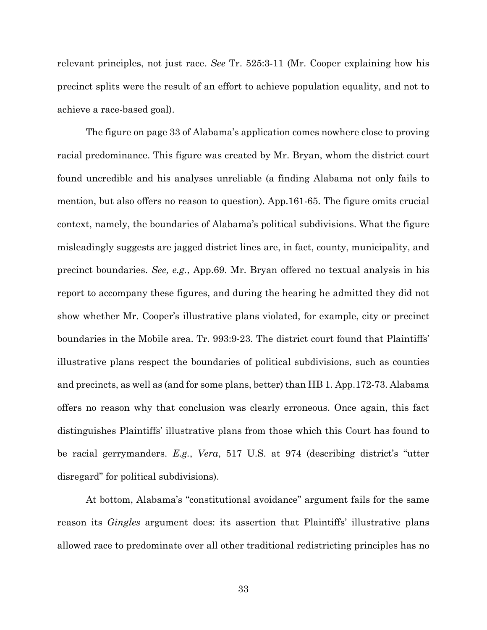relevant principles, not just race. *See* Tr. 525:3-11 (Mr. Cooper explaining how his precinct splits were the result of an effort to achieve population equality, and not to achieve a race-based goal).

The figure on page 33 of Alabama's application comes nowhere close to proving racial predominance. This figure was created by Mr. Bryan, whom the district court found uncredible and his analyses unreliable (a finding Alabama not only fails to mention, but also offers no reason to question). App.161-65. The figure omits crucial context, namely, the boundaries of Alabama's political subdivisions. What the figure misleadingly suggests are jagged district lines are, in fact, county, municipality, and precinct boundaries. *See, e.g.*, App.69. Mr. Bryan offered no textual analysis in his report to accompany these figures, and during the hearing he admitted they did not show whether Mr. Cooper's illustrative plans violated, for example, city or precinct boundaries in the Mobile area. Tr. 993:9-23. The district court found that Plaintiffs' illustrative plans respect the boundaries of political subdivisions, such as counties and precincts, as well as (and for some plans, better) than HB 1. App.172-73. Alabama offers no reason why that conclusion was clearly erroneous. Once again, this fact distinguishes Plaintiffs' illustrative plans from those which this Court has found to be racial gerrymanders. *E.g.*, *Vera*, 517 U.S. at 974 (describing district's "utter disregard" for political subdivisions).

At bottom, Alabama's "constitutional avoidance" argument fails for the same reason its *Gingles* argument does: its assertion that Plaintiffs' illustrative plans allowed race to predominate over all other traditional redistricting principles has no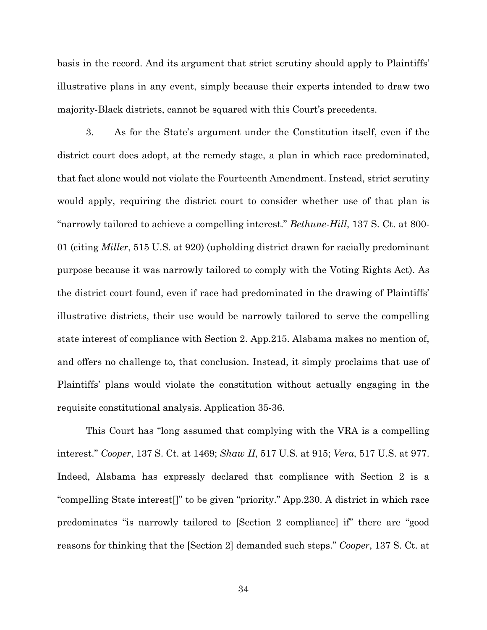basis in the record. And its argument that strict scrutiny should apply to Plaintiffs' illustrative plans in any event, simply because their experts intended to draw two majority-Black districts, cannot be squared with this Court's precedents.

3. As for the State's argument under the Constitution itself, even if the district court does adopt, at the remedy stage, a plan in which race predominated, that fact alone would not violate the Fourteenth Amendment. Instead, strict scrutiny would apply, requiring the district court to consider whether use of that plan is "narrowly tailored to achieve a compelling interest." *Bethune-Hill*, 137 S. Ct. at 800- 01 (citing *Miller*, 515 U.S. at 920) (upholding district drawn for racially predominant purpose because it was narrowly tailored to comply with the Voting Rights Act). As the district court found, even if race had predominated in the drawing of Plaintiffs' illustrative districts, their use would be narrowly tailored to serve the compelling state interest of compliance with Section 2. App.215. Alabama makes no mention of, and offers no challenge to, that conclusion. Instead, it simply proclaims that use of Plaintiffs' plans would violate the constitution without actually engaging in the requisite constitutional analysis. Application 35-36.

This Court has "long assumed that complying with the VRA is a compelling interest." *Cooper*, 137 S. Ct. at 1469; *Shaw II*, 517 U.S. at 915; *Vera*, 517 U.S. at 977. Indeed, Alabama has expressly declared that compliance with Section 2 is a "compelling State interest[]" to be given "priority." App.230. A district in which race predominates "is narrowly tailored to [Section 2 compliance] if" there are "good reasons for thinking that the [Section 2] demanded such steps." *Cooper*, 137 S. Ct. at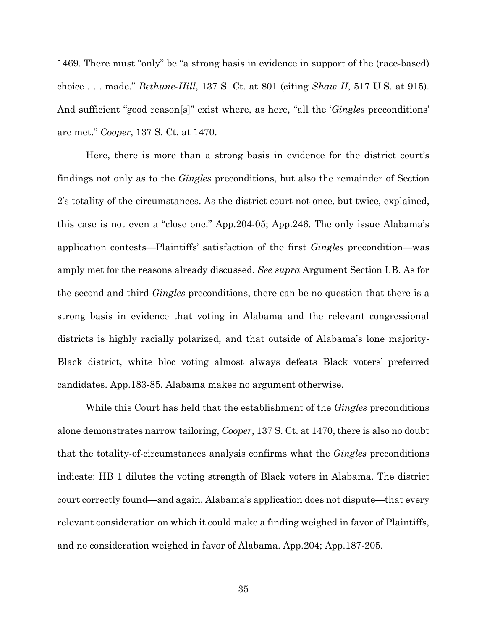1469. There must "only" be "a strong basis in evidence in support of the (race-based) choice . . . made." *Bethune-Hill*, 137 S. Ct. at 801 (citing *Shaw II*, 517 U.S. at 915). And sufficient "good reason[s]" exist where, as here, "all the '*Gingles* preconditions' are met." *Cooper*, 137 S. Ct. at 1470.

Here, there is more than a strong basis in evidence for the district court's findings not only as to the *Gingles* preconditions, but also the remainder of Section 2's totality-of-the-circumstances. As the district court not once, but twice, explained, this case is not even a "close one." App.204-05; App.246. The only issue Alabama's application contests—Plaintiffs' satisfaction of the first *Gingles* precondition—was amply met for the reasons already discussed*. See supra* Argument Section I.B. As for the second and third *Gingles* preconditions, there can be no question that there is a strong basis in evidence that voting in Alabama and the relevant congressional districts is highly racially polarized, and that outside of Alabama's lone majority-Black district, white bloc voting almost always defeats Black voters' preferred candidates. App.183-85. Alabama makes no argument otherwise.

While this Court has held that the establishment of the *Gingles* preconditions alone demonstrates narrow tailoring, *Cooper*, 137 S. Ct. at 1470, there is also no doubt that the totality-of-circumstances analysis confirms what the *Gingles* preconditions indicate: HB 1 dilutes the voting strength of Black voters in Alabama. The district court correctly found—and again, Alabama's application does not dispute—that every relevant consideration on which it could make a finding weighed in favor of Plaintiffs, and no consideration weighed in favor of Alabama. App.204; App.187-205.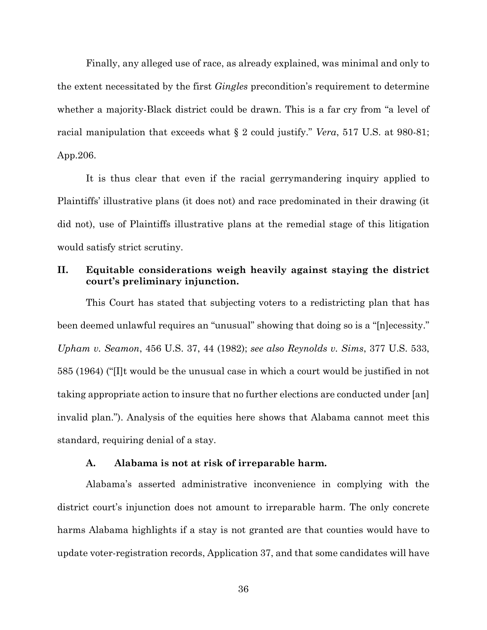Finally, any alleged use of race, as already explained, was minimal and only to the extent necessitated by the first *Gingles* precondition's requirement to determine whether a majority-Black district could be drawn. This is a far cry from "a level of racial manipulation that exceeds what § 2 could justify." *Vera*, 517 U.S. at 980-81; App.206.

It is thus clear that even if the racial gerrymandering inquiry applied to Plaintiffs' illustrative plans (it does not) and race predominated in their drawing (it did not), use of Plaintiffs illustrative plans at the remedial stage of this litigation would satisfy strict scrutiny.

## **II. Equitable considerations weigh heavily against staying the district court's preliminary injunction.**

This Court has stated that subjecting voters to a redistricting plan that has been deemed unlawful requires an "unusual" showing that doing so is a "[n]ecessity." *Upham v. Seamon*, 456 U.S. 37, 44 (1982); *see also Reynolds v. Sims*, 377 U.S. 533, 585 (1964) ("[I]t would be the unusual case in which a court would be justified in not taking appropriate action to insure that no further elections are conducted under [an] invalid plan."). Analysis of the equities here shows that Alabama cannot meet this standard, requiring denial of a stay.

#### **A. Alabama is not at risk of irreparable harm.**

Alabama's asserted administrative inconvenience in complying with the district court's injunction does not amount to irreparable harm. The only concrete harms Alabama highlights if a stay is not granted are that counties would have to update voter-registration records, Application 37, and that some candidates will have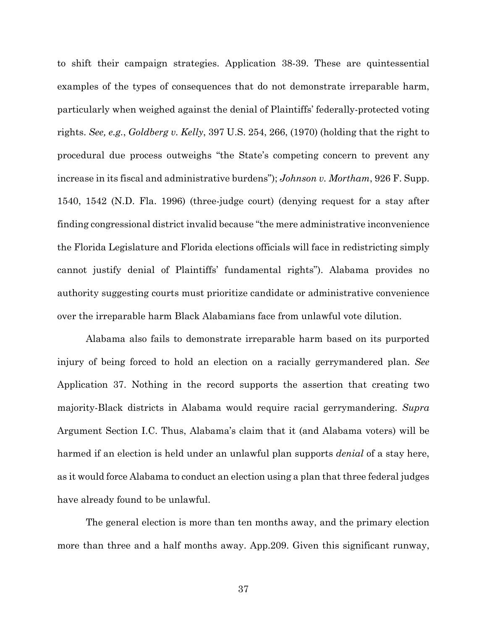to shift their campaign strategies. Application 38-39. These are quintessential examples of the types of consequences that do not demonstrate irreparable harm, particularly when weighed against the denial of Plaintiffs' federally-protected voting rights. *See, e.g.*, *Goldberg v. Kelly*, 397 U.S. 254, 266, (1970) (holding that the right to procedural due process outweighs "the State's competing concern to prevent any increase in its fiscal and administrative burdens"); *Johnson v. Mortham*, 926 F. Supp. 1540, 1542 (N.D. Fla. 1996) (three-judge court) (denying request for a stay after finding congressional district invalid because "the mere administrative inconvenience the Florida Legislature and Florida elections officials will face in redistricting simply cannot justify denial of Plaintiffs' fundamental rights"). Alabama provides no authority suggesting courts must prioritize candidate or administrative convenience over the irreparable harm Black Alabamians face from unlawful vote dilution.

Alabama also fails to demonstrate irreparable harm based on its purported injury of being forced to hold an election on a racially gerrymandered plan. *See* Application 37. Nothing in the record supports the assertion that creating two majority-Black districts in Alabama would require racial gerrymandering. *Supra*  Argument Section I.C. Thus, Alabama's claim that it (and Alabama voters) will be harmed if an election is held under an unlawful plan supports *denial* of a stay here, as it would force Alabama to conduct an election using a plan that three federal judges have already found to be unlawful.

The general election is more than ten months away, and the primary election more than three and a half months away. App.209. Given this significant runway,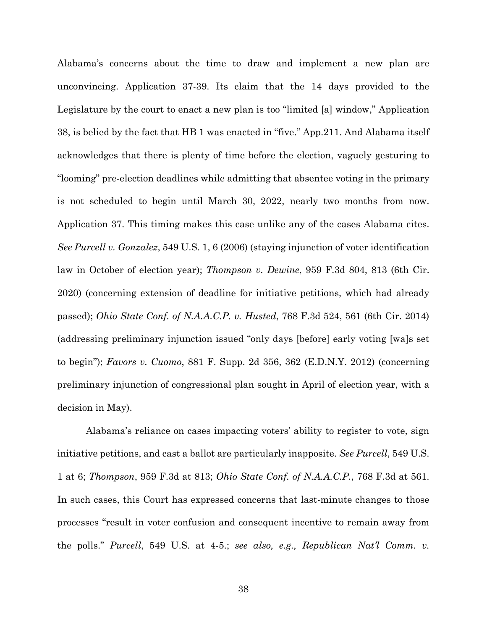Alabama's concerns about the time to draw and implement a new plan are unconvincing. Application 37-39. Its claim that the 14 days provided to the Legislature by the court to enact a new plan is too "limited [a] window," Application 38, is belied by the fact that HB 1 was enacted in "five." App.211. And Alabama itself acknowledges that there is plenty of time before the election, vaguely gesturing to "looming" pre-election deadlines while admitting that absentee voting in the primary is not scheduled to begin until March 30, 2022, nearly two months from now. Application 37. This timing makes this case unlike any of the cases Alabama cites. *See Purcell v. Gonzalez*, 549 U.S. 1, 6 (2006) (staying injunction of voter identification law in October of election year); *Thompson v. Dewine*, 959 F.3d 804, 813 (6th Cir. 2020) (concerning extension of deadline for initiative petitions, which had already passed); *Ohio State Conf. of N.A.A.C.P. v. Husted*, 768 F.3d 524, 561 (6th Cir. 2014) (addressing preliminary injunction issued "only days [before] early voting [wa]s set to begin"); *Favors v. Cuomo*, 881 F. Supp. 2d 356, 362 (E.D.N.Y. 2012) (concerning preliminary injunction of congressional plan sought in April of election year, with a decision in May).

Alabama's reliance on cases impacting voters' ability to register to vote, sign initiative petitions, and cast a ballot are particularly inapposite. *See Purcell*, 549 U.S. 1 at 6; *Thompson*, 959 F.3d at 813; *Ohio State Conf. of N.A.A.C.P.*, 768 F.3d at 561. In such cases, this Court has expressed concerns that last-minute changes to those processes "result in voter confusion and consequent incentive to remain away from the polls." *Purcell*, 549 U.S. at 4-5.; *see also, e.g., Republican Nat'l Comm. v.*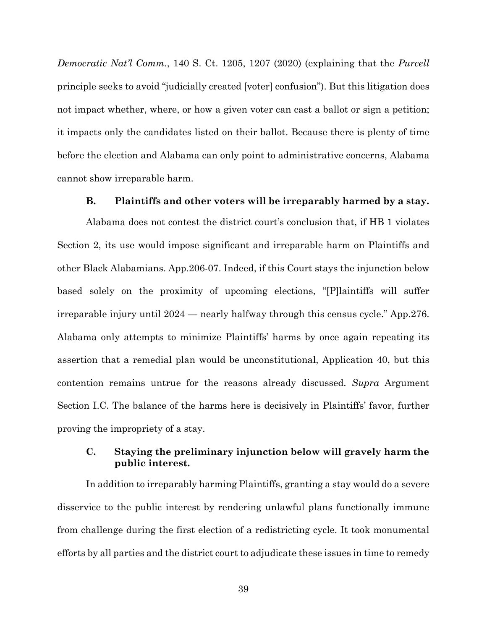*Democratic Nat'l Comm.*, 140 S. Ct. 1205, 1207 (2020) (explaining that the *Purcell* principle seeks to avoid "judicially created [voter] confusion"). But this litigation does not impact whether, where, or how a given voter can cast a ballot or sign a petition; it impacts only the candidates listed on their ballot. Because there is plenty of time before the election and Alabama can only point to administrative concerns, Alabama cannot show irreparable harm.

## **B. Plaintiffs and other voters will be irreparably harmed by a stay.**

Alabama does not contest the district court's conclusion that, if HB 1 violates Section 2, its use would impose significant and irreparable harm on Plaintiffs and other Black Alabamians. App.206-07. Indeed, if this Court stays the injunction below based solely on the proximity of upcoming elections, "[P]laintiffs will suffer irreparable injury until 2024 — nearly halfway through this census cycle." App.276. Alabama only attempts to minimize Plaintiffs' harms by once again repeating its assertion that a remedial plan would be unconstitutional, Application 40, but this contention remains untrue for the reasons already discussed. *Supra* Argument Section I.C. The balance of the harms here is decisively in Plaintiffs' favor, further proving the impropriety of a stay.

## **C. Staying the preliminary injunction below will gravely harm the public interest.**

In addition to irreparably harming Plaintiffs, granting a stay would do a severe disservice to the public interest by rendering unlawful plans functionally immune from challenge during the first election of a redistricting cycle. It took monumental efforts by all parties and the district court to adjudicate these issues in time to remedy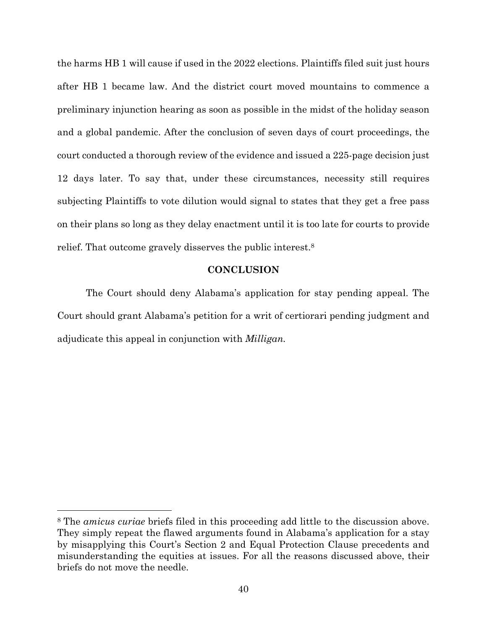the harms HB 1 will cause if used in the 2022 elections. Plaintiffs filed suit just hours after HB 1 became law. And the district court moved mountains to commence a preliminary injunction hearing as soon as possible in the midst of the holiday season and a global pandemic. After the conclusion of seven days of court proceedings, the court conducted a thorough review of the evidence and issued a 225-page decision just 12 days later. To say that, under these circumstances, necessity still requires subjecting Plaintiffs to vote dilution would signal to states that they get a free pass on their plans so long as they delay enactment until it is too late for courts to provide relief. That outcome gravely disserves the public interest.8

#### **CONCLUSION**

The Court should deny Alabama's application for stay pending appeal. The Court should grant Alabama's petition for a writ of certiorari pending judgment and adjudicate this appeal in conjunction with *Milligan.*

<sup>8</sup> The *amicus curiae* briefs filed in this proceeding add little to the discussion above. They simply repeat the flawed arguments found in Alabama's application for a stay by misapplying this Court's Section 2 and Equal Protection Clause precedents and misunderstanding the equities at issues. For all the reasons discussed above, their briefs do not move the needle.